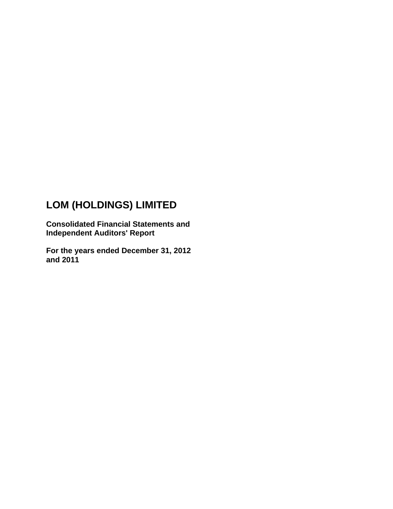# **LOM (HOLDINGS) LIMITED**

**Consolidated Financial Statements and Independent Auditors' Report** 

**For the years ended December 31, 2012 and 2011**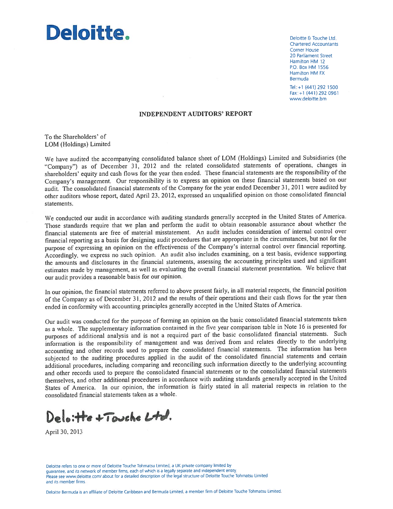

Deloitte & Touche Ltd. **Chartered Accountants** Corner House 20 Parliament Street Hamilton HM 12 P.O. Box HM 1556 Hamilton HM FX Bermuda

Tel: +1 (441) 292 1500 Fax: +1 (441) 292 0961 www.deloitte.bm

#### **INDEPENDENT AUDITORS' REPORT**

To the Shareholders' of LOM (Holdings) Limited

We have audited the accompanying consolidated balance sheet of LOM (Holdings) Limited and Subsidiaries (the "Company") as of December 31, 2012 and the related consolidated statements of operations, changes in shareholders' equity and cash flows for the year then ended. These financial statements are the responsibility of the Company's management. Our responsibility is to express an opinion on these financial statements based on our audit. The consolidated financial statements of the Company for the year ended December 31, 2011 were audited by other auditors whose report, dated April 23, 2012, expressed an unqualified opinion on those consolidated financial statements.

We conducted our audit in accordance with auditing standards generally accepted in the United States of America. Those standards require that we plan and perform the audit to obtain reasonable assurance about whether the financial statements are free of material misstatement. An audit includes consideration of internal control over financial reporting as a basis for designing audit procedures that are appropriate in the circumstances, but not for the purpose of expressing an opinion on the effectiveness of the Company's internal control over financial reporting. Accordingly, we express no such opinion. An audit also includes examining, on a test basis, evidence supporting the amounts and disclosures in the financial statements, assessing the accounting principles used and significant estimates made by management, as well as evaluating the overall financial statement presentation. We believe that our audit provides a reasonable basis for our opinion.

In our opinion, the financial statements referred to above present fairly, in all material respects, the financial position of the Company as of December 31, 2012 and the results of their operations and their cash flows for the year then ended in conformity with accounting principles generally accepted in the United States of America.

Our audit was conducted for the purpose of forming an opinion on the basic consolidated financial statements taken as a whole. The supplementary information contained in the five year comparison table in Note 16 is presented for purposes of additional analysis and is not a required part of the basic consolidated financial statements. Such information is the responsibility of management and was derived from and relates directly to the underlying accounting and other records used to prepare the consolidated financial statements. The information has been subjected to the auditing procedures applied in the audit of the consolidated financial statements and certain additional procedures, including comparing and reconciling such information directly to the underlying accounting and other records used to prepare the consolidated financial statements or to the consolidated financial statements themselves, and other additional procedures in accordance with auditing standards generally accepted in the United States of America. In our opinion, the information is fairly stated in all material respects in relation to the consolidated financial statements taken as a whole.

Delo: He + Touche Ltd.

April 30, 2013

Deloitte refers to one or more of Deloitte Touche Tohmatsu Limited, a UK private company limited by quarantee, and its network of member firms, each of which is a legally separate and independent entity. Please see www.deloitte.com/ about for a detailed description of the legal structure of Deloitte Touche Tohmatsu Limited and its member firms.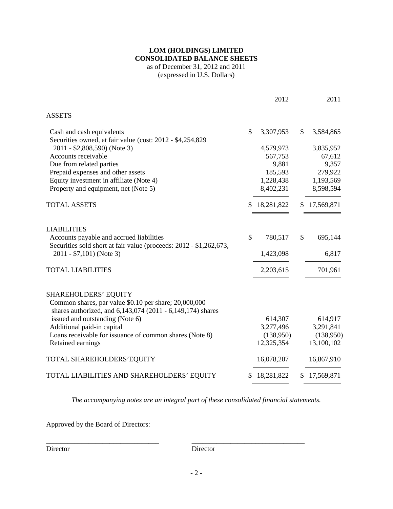### **LOM (HOLDINGS) LIMITED CONSOLIDATED BALANCE SHEETS**  as of December 31, 2012 and 2011

(expressed in U.S. Dollars)

|                                                                                                                |    | 2012       |              | 2011                    |
|----------------------------------------------------------------------------------------------------------------|----|------------|--------------|-------------------------|
| <b>ASSETS</b>                                                                                                  |    |            |              |                         |
| Cash and cash equivalents<br>Securities owned, at fair value (cost: 2012 - \$4,254,829)                        | \$ | 3,307,953  | $\mathbb{S}$ | 3,584,865               |
| 2011 - \$2,808,590) (Note 3)                                                                                   |    | 4,579,973  |              | 3,835,952               |
| Accounts receivable                                                                                            |    | 567,753    |              | 67,612                  |
| Due from related parties                                                                                       |    | 9,881      |              | 9,357                   |
| Prepaid expenses and other assets                                                                              |    | 185,593    |              | 279,922                 |
| Equity investment in affiliate (Note 4)                                                                        |    | 1,228,438  |              | 1,193,569               |
| Property and equipment, net (Note 5)                                                                           |    | 8,402,231  |              | 8,598,594               |
| <b>TOTAL ASSETS</b>                                                                                            | \$ | 18,281,822 | \$           | 17,569,871              |
| <b>LIABILITIES</b>                                                                                             |    |            |              |                         |
| Accounts payable and accrued liabilities<br>Securities sold short at fair value (proceeds: 2012 - \$1,262,673, | \$ | 780,517    | \$           | 695,144                 |
| 2011 - \$7,101) (Note 3)                                                                                       |    | 1,423,098  |              | 6,817                   |
| <b>TOTAL LIABILITIES</b>                                                                                       |    | 2,203,615  |              | 701,961                 |
| <b>SHAREHOLDERS' EQUITY</b><br>Common shares, par value \$0.10 per share; 20,000,000                           |    |            |              |                         |
| shares authorized, and 6,143,074 (2011 - 6,149,174) shares                                                     |    |            |              |                         |
| issued and outstanding (Note 6)                                                                                |    | 614,307    |              | 614,917                 |
| Additional paid-in capital                                                                                     |    | 3,277,496  |              | 3,291,841               |
| Loans receivable for issuance of common shares (Note 8)                                                        |    | (138,950)  |              | (138,950)<br>13,100,102 |
| Retained earnings                                                                                              |    | 12,325,354 |              |                         |
| TOTAL SHAREHOLDERS'EQUITY                                                                                      |    | 16,078,207 |              | 16,867,910              |
| TOTAL LIABILITIES AND SHAREHOLDERS' EQUITY                                                                     | S. | 18,281,822 | S.           | 17,569,871              |

*The accompanying notes are an integral part of these consolidated financial statements.* 

Approved by the Board of Directors:

Director Director

\_\_\_\_\_\_\_\_\_\_\_\_\_\_\_\_\_\_\_\_\_\_\_\_\_\_\_\_\_\_\_\_ \_\_\_\_\_\_\_\_\_\_\_\_\_\_\_\_\_\_\_\_\_\_\_\_\_\_\_\_\_\_\_\_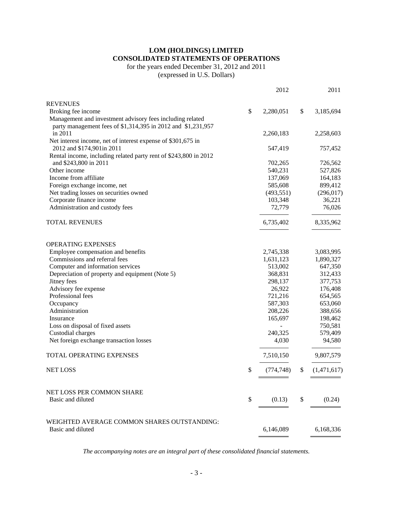# **LOM (HOLDINGS) LIMITED CONSOLIDATED STATEMENTS OF OPERATIONS**

### for the years ended December 31, 2012 and 2011

(expressed in U.S. Dollars)

|                                                                  | 2012             | 2011              |
|------------------------------------------------------------------|------------------|-------------------|
| <b>REVENUES</b>                                                  |                  |                   |
| Broking fee income                                               | \$<br>2,280,051  | \$<br>3,185,694   |
| Management and investment advisory fees including related        |                  |                   |
| party management fees of \$1,314,395 in 2012 and \$1,231,957     |                  |                   |
| in 2011                                                          | 2,260,183        | 2,258,603         |
| Net interest income, net of interest expense of \$301,675 in     |                  |                   |
| 2012 and \$174,901 in 2011                                       | 547,419          | 757,452           |
| Rental income, including related party rent of \$243,800 in 2012 |                  |                   |
| and \$243,800 in 2011                                            | 702,265          | 726,562           |
| Other income                                                     | 540,231          | 527,826           |
| Income from affiliate                                            | 137,069          | 164,183           |
| Foreign exchange income, net                                     | 585,608          | 899,412           |
| Net trading losses on securities owned                           | (493, 551)       | (296, 017)        |
| Corporate finance income                                         | 103,348          | 36,221            |
| Administration and custody fees                                  | 72,779           | 76,026            |
| <b>TOTAL REVENUES</b>                                            | 6,735,402        | 8,335,962         |
| OPERATING EXPENSES                                               |                  |                   |
| Employee compensation and benefits                               | 2,745,338        | 3,083,995         |
| Commissions and referral fees                                    | 1,631,123        | 1,890,327         |
| Computer and information services                                | 513,002          | 647,350           |
| Depreciation of property and equipment (Note 5)                  | 368,831          | 312,433           |
| Jitney fees                                                      | 298,137          | 377,753           |
| Advisory fee expense                                             | 26,922           | 176,408           |
| Professional fees                                                | 721,216          | 654,565           |
| Occupancy                                                        | 587,303          | 653,060           |
| Administration                                                   | 208,226          | 388,656           |
| Insurance                                                        | 165,697          | 198,462           |
| Loss on disposal of fixed assets                                 |                  | 750,581           |
| Custodial charges                                                | 240,325          | 579,409           |
| Net foreign exchange transaction losses                          | 4,030            | 94,580            |
| TOTAL OPERATING EXPENSES                                         | 7,510,150        | 9,807,579         |
| <b>NET LOSS</b>                                                  | \$<br>(774, 748) | \$<br>(1,471,617) |
| NET LOSS PER COMMON SHARE                                        |                  |                   |
| Basic and diluted                                                | \$<br>(0.13)     | \$<br>(0.24)      |
|                                                                  |                  |                   |
| WEIGHTED AVERAGE COMMON SHARES OUTSTANDING:                      |                  |                   |
| Basic and diluted                                                | 6,146,089        | 6,168,336         |
|                                                                  |                  |                   |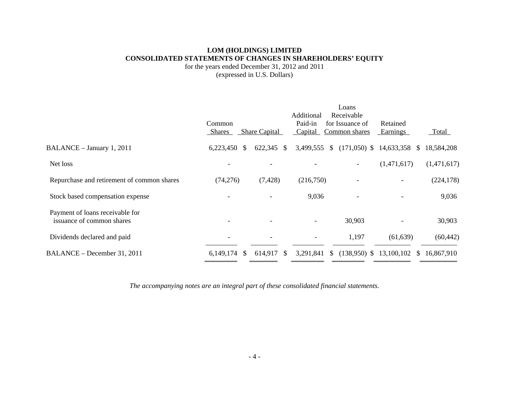### **LOM (HOLDINGS) LIMITED CONSOLIDATED STATEMENTS OF CHANGES IN SHAREHOLDERS' EQUITY**

for the years ended December 31, 2012 and 2011 (expressed in U.S. Dollars)

|                                                              |                            |                          | Additional                | Loans<br>Receivable              |                            |              |
|--------------------------------------------------------------|----------------------------|--------------------------|---------------------------|----------------------------------|----------------------------|--------------|
|                                                              | Common<br><b>Shares</b>    | <b>Share Capital</b>     | Paid-in<br>Capital        | for Issuance of<br>Common shares | Retained<br>Earnings       | <b>Total</b> |
| BALANCE - January 1, 2011                                    | 6,223,450<br><sup>\$</sup> | $622,345$ \$             | 3,499,555<br><sup>S</sup> | $(171,050)$ \$                   | 14,633,358<br><sup>S</sup> | 18,584,208   |
| Net loss                                                     |                            |                          |                           |                                  | (1,471,617)                | (1,471,617)  |
| Repurchase and retirement of common shares                   | (74,276)                   | (7, 428)                 | (216,750)                 |                                  |                            | (224, 178)   |
| Stock based compensation expense                             |                            |                          | 9,036                     |                                  |                            | 9,036        |
| Payment of loans receivable for<br>issuance of common shares |                            | $\overline{\phantom{0}}$ | $\overline{\phantom{a}}$  | 30,903                           |                            | 30,903       |
| Dividends declared and paid                                  | $\overline{\phantom{a}}$   |                          | $\overline{\phantom{a}}$  | 1,197                            | (61, 639)                  | (60, 442)    |
| BALANCE – December 31, 2011                                  | $6,149,174$ \$             | 614,917 \$               | 3,291,841                 | \$<br>$(138,950)$ \$ 13,100,102  | <sup>S</sup>               | 16.867.910   |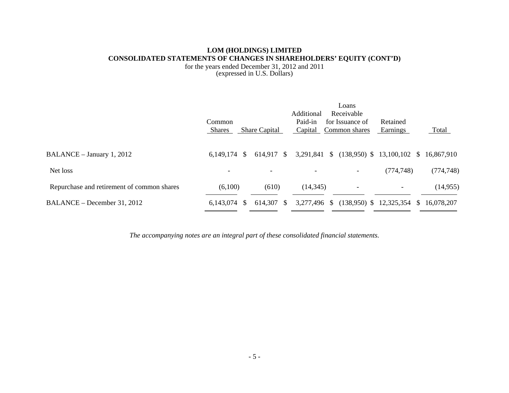### **LOM (HOLDINGS) LIMITED CONSOLIDATED STATEMENTS OF CHANGES IN SHAREHOLDERS' EQUITY (CONT'D)**

for the years ended December 31, 2012 and 2011 (expressed in U.S. Dollars)

|                                            | Common<br><b>Shares</b> | <b>Share Capital</b> | Additional<br>Paid-in<br>Capital | Loans<br>Receivable<br>for Issuance of<br>Common shares | Retained<br>Earnings | Total      |
|--------------------------------------------|-------------------------|----------------------|----------------------------------|---------------------------------------------------------|----------------------|------------|
| BALANCE - January 1, 2012                  | $6,149,174$ \$          | 614,917 \$           | 3,291,841 \$                     | $(138,950)$ \$ 13,100,102 \$ 16,867,910                 |                      |            |
| Net loss                                   |                         |                      |                                  | $\overline{\phantom{a}}$                                | (774, 748)           | (774, 748) |
| Repurchase and retirement of common shares | (6,100)                 | (610)                | (14, 345)                        | -                                                       | -                    | (14, 955)  |
| BALANCE – December 31, 2012                | $6.143.074$ \$          | 614,307<br>- S       | 3,277,496 \$                     | $(138,950)$ \$ 12,325,354 \$                            |                      | 16,078,207 |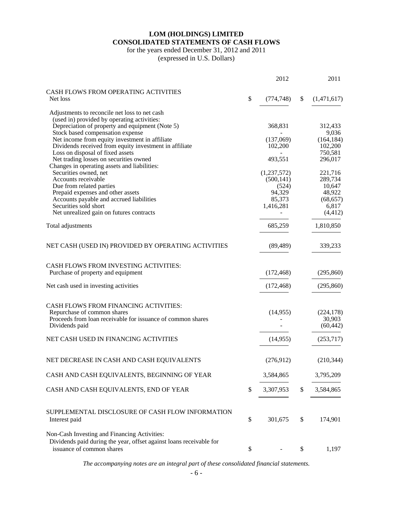# **LOM (HOLDINGS) LIMITED CONSOLIDATED STATEMENTS OF CASH FLOWS**

for the years ended December 31, 2012 and 2011

(expressed in U.S. Dollars)

|                                                                                            | 2012             | 2011               |
|--------------------------------------------------------------------------------------------|------------------|--------------------|
| CASH FLOWS FROM OPERATING ACTIVITIES                                                       |                  |                    |
| Net loss                                                                                   | \$<br>(774, 748) | \$<br>(1,471,617)  |
| Adjustments to reconcile net loss to net cash                                              |                  |                    |
| (used in) provided by operating activities:                                                |                  |                    |
| Depreciation of property and equipment (Note 5)                                            | 368,831          | 312,433            |
| Stock based compensation expense                                                           |                  | 9,036              |
| Net income from equity investment in affiliate                                             | (137,069)        | (164, 184)         |
| Dividends received from equity investment in affiliate<br>Loss on disposal of fixed assets | 102,200          | 102,200<br>750,581 |
| Net trading losses on securities owned                                                     | 493,551          | 296,017            |
| Changes in operating assets and liabilities:                                               |                  |                    |
| Securities owned, net                                                                      | (1,237,572)      | 221,716            |
| Accounts receivable                                                                        | (500, 141)       | 289,734            |
| Due from related parties                                                                   | (524)            | 10,647             |
| Prepaid expenses and other assets                                                          | 94,329           | 48,922             |
| Accounts payable and accrued liabilities                                                   | 85,373           | (68, 657)          |
| Securities sold short                                                                      | 1,416,281        | 6,817              |
| Net unrealized gain on futures contracts                                                   |                  | (4, 412)           |
| Total adjustments                                                                          | 685,259          | 1,810,850          |
| NET CASH (USED IN) PROVIDED BY OPERATING ACTIVITIES                                        | (89, 489)        | 339,233            |
|                                                                                            |                  |                    |
| <b>CASH FLOWS FROM INVESTING ACTIVITIES:</b>                                               |                  |                    |
| Purchase of property and equipment                                                         | (172, 468)       | (295, 860)         |
|                                                                                            |                  |                    |
| Net cash used in investing activities                                                      | (172, 468)       | (295, 860)         |
| CASH FLOWS FROM FINANCING ACTIVITIES:                                                      |                  |                    |
| Repurchase of common shares                                                                | (14,955)         | (224, 178)         |
| Proceeds from loan receivable for issuance of common shares                                |                  | 30,903             |
| Dividends paid                                                                             |                  | (60, 442)          |
| NET CASH USED IN FINANCING ACTIVITIES                                                      | (14, 955)        | (253,717)          |
|                                                                                            |                  |                    |
| NET DECREASE IN CASH AND CASH EQUIVALENTS                                                  | (276,912)        | (210, 344)         |
| CASH AND CASH EQUIVALENTS, BEGINNING OF YEAR                                               | 3,584,865        | 3,795,209          |
|                                                                                            |                  |                    |
| CASH AND CASH EQUIVALENTS, END OF YEAR                                                     | \$<br>3,307,953  | \$<br>3,584,865    |
| SUPPLEMENTAL DISCLOSURE OF CASH FLOW INFORMATION                                           |                  |                    |
| Interest paid                                                                              | \$<br>301,675    | \$<br>174,901      |
| Non-Cash Investing and Financing Activities:                                               |                  |                    |
| Dividends paid during the year, offset against loans receivable for                        |                  |                    |
| issuance of common shares                                                                  | \$               | \$<br>1,197        |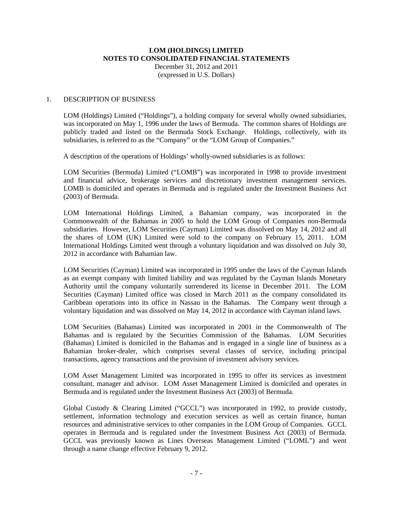# **LOM (HOLDINGS) LIMITED NOTES TO CONSOLIDATED FINANCIAL STATEMENTS**  December 31, 2012 and 2011

(expressed in U.S. Dollars)

### 1. DESCRIPTION OF BUSINESS

LOM (Holdings) Limited ("Holdings"), a holding company for several wholly owned subsidiaries, was incorporated on May 1, 1996 under the laws of Bermuda. The common shares of Holdings are publicly traded and listed on the Bermuda Stock Exchange. Holdings, collectively, with its subsidiaries, is referred to as the "Company" or the "LOM Group of Companies."

A description of the operations of Holdings' wholly-owned subsidiaries is as follows:

LOM Securities (Bermuda) Limited ("LOMB") was incorporated in 1998 to provide investment and financial advice, brokerage services and discretionary investment management services. LOMB is domiciled and operates in Bermuda and is regulated under the Investment Business Act (2003) of Bermuda.

LOM International Holdings Limited, a Bahamian company, was incorporated in the Commonwealth of the Bahamas in 2005 to hold the LOM Group of Companies non-Bermuda subsidiaries. However, LOM Securities (Cayman) Limited was dissolved on May 14, 2012 and all the shares of LOM (UK) Limited were sold to the company on February 15, 2011. LOM International Holdings Limited went through a voluntary liquidation and was dissolved on July 30, 2012 in accordance with Bahamian law.

LOM Securities (Cayman) Limited was incorporated in 1995 under the laws of the Cayman Islands as an exempt company with limited liability and was regulated by the Cayman Islands Monetary Authority until the company voluntarily surrendered its license in December 2011. The LOM Securities (Cayman) Limited office was closed in March 2011 as the company consolidated its Caribbean operations into its office in Nassau in the Bahamas. The Company went through a voluntary liquidation and was dissolved on May 14, 2012 in accordance with Cayman island laws.

LOM Securities (Bahamas) Limited was incorporated in 2001 in the Commonwealth of The Bahamas and is regulated by the Securities Commission of the Bahamas. LOM Securities (Bahamas) Limited is domiciled in the Bahamas and is engaged in a single line of business as a Bahamian broker-dealer, which comprises several classes of service, including principal transactions, agency transactions and the provision of investment advisory services.

LOM Asset Management Limited was incorporated in 1995 to offer its services as investment consultant, manager and advisor. LOM Asset Management Limited is domiciled and operates in Bermuda and is regulated under the Investment Business Act (2003) of Bermuda.

Global Custody & Clearing Limited ("GCCL") was incorporated in 1992, to provide custody, settlement, information technology and execution services as well as certain finance, human resources and administrative services to other companies in the LOM Group of Companies. GCCL operates in Bermuda and is regulated under the Investment Business Act (2003) of Bermuda. GCCL was previously known as Lines Overseas Management Limited ("LOML") and went through a name change effective February 9, 2012.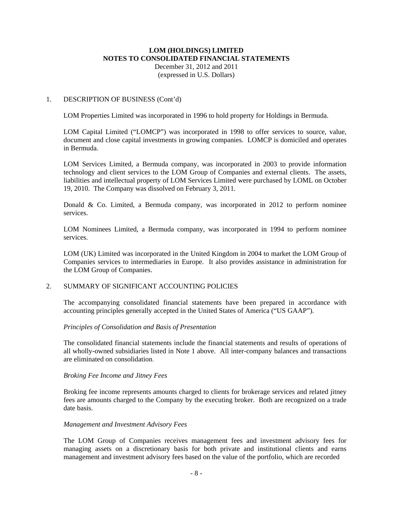### 1. DESCRIPTION OF BUSINESS (Cont'd)

LOM Properties Limited was incorporated in 1996 to hold property for Holdings in Bermuda.

LOM Capital Limited ("LOMCP") was incorporated in 1998 to offer services to source, value, document and close capital investments in growing companies. LOMCP is domiciled and operates in Bermuda.

LOM Services Limited, a Bermuda company, was incorporated in 2003 to provide information technology and client services to the LOM Group of Companies and external clients. The assets, liabilities and intellectual property of LOM Services Limited were purchased by LOML on October 19, 2010. The Company was dissolved on February 3, 2011.

Donald & Co. Limited, a Bermuda company, was incorporated in 2012 to perform nominee services.

LOM Nominees Limited, a Bermuda company, was incorporated in 1994 to perform nominee services.

LOM (UK) Limited was incorporated in the United Kingdom in 2004 to market the LOM Group of Companies services to intermediaries in Europe. It also provides assistance in administration for the LOM Group of Companies.

### 2. SUMMARY OF SIGNIFICANT ACCOUNTING POLICIES

The accompanying consolidated financial statements have been prepared in accordance with accounting principles generally accepted in the United States of America ("US GAAP").

#### *Principles of Consolidation and Basis of Presentation*

The consolidated financial statements include the financial statements and results of operations of all wholly-owned subsidiaries listed in Note 1 above. All inter-company balances and transactions are eliminated on consolidation.

#### *Broking Fee Income and Jitney Fees*

Broking fee income represents amounts charged to clients for brokerage services and related jitney fees are amounts charged to the Company by the executing broker. Both are recognized on a trade date basis.

#### *Management and Investment Advisory Fees*

The LOM Group of Companies receives management fees and investment advisory fees for managing assets on a discretionary basis for both private and institutional clients and earns management and investment advisory fees based on the value of the portfolio, which are recorded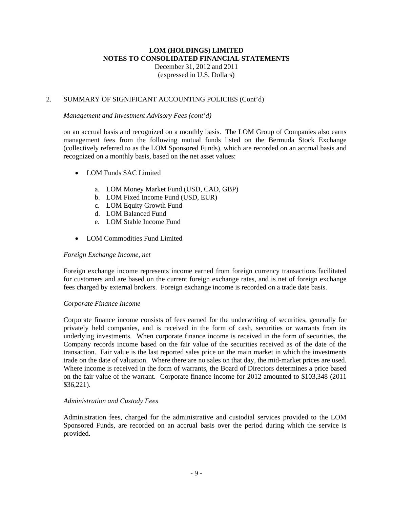# **LOM (HOLDINGS) LIMITED NOTES TO CONSOLIDATED FINANCIAL STATEMENTS**  December 31, 2012 and 2011

(expressed in U.S. Dollars)

## 2. SUMMARY OF SIGNIFICANT ACCOUNTING POLICIES (Cont'd)

### *Management and Investment Advisory Fees (cont'd)*

on an accrual basis and recognized on a monthly basis. The LOM Group of Companies also earns management fees from the following mutual funds listed on the Bermuda Stock Exchange (collectively referred to as the LOM Sponsored Funds), which are recorded on an accrual basis and recognized on a monthly basis, based on the net asset values:

- LOM Funds SAC Limited
	- a. LOM Money Market Fund (USD, CAD, GBP)
	- b. LOM Fixed Income Fund (USD, EUR)
	- c. LOM Equity Growth Fund
	- d. LOM Balanced Fund
	- e. LOM Stable Income Fund
- LOM Commodities Fund Limited

### *Foreign Exchange Income, net*

Foreign exchange income represents income earned from foreign currency transactions facilitated for customers and are based on the current foreign exchange rates, and is net of foreign exchange fees charged by external brokers. Foreign exchange income is recorded on a trade date basis.

### *Corporate Finance Income*

Corporate finance income consists of fees earned for the underwriting of securities, generally for privately held companies, and is received in the form of cash, securities or warrants from its underlying investments. When corporate finance income is received in the form of securities, the Company records income based on the fair value of the securities received as of the date of the transaction. Fair value is the last reported sales price on the main market in which the investments trade on the date of valuation. Where there are no sales on that day, the mid-market prices are used. Where income is received in the form of warrants, the Board of Directors determines a price based on the fair value of the warrant. Corporate finance income for 2012 amounted to \$103,348 (2011 \$36,221).

### *Administration and Custody Fees*

Administration fees, charged for the administrative and custodial services provided to the LOM Sponsored Funds, are recorded on an accrual basis over the period during which the service is provided.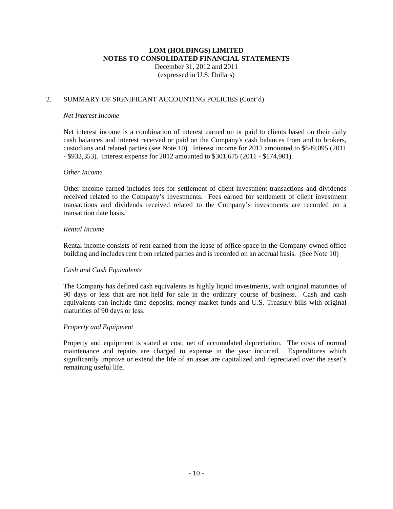### 2. SUMMARY OF SIGNIFICANT ACCOUNTING POLICIES (Cont'd)

#### *Net Interest Income*

Net interest income is a combination of interest earned on or paid to clients based on their daily cash balances and interest received or paid on the Company's cash balances from and to brokers, custodians and related parties (see Note 10). Interest income for 2012 amounted to \$849,095 (2011 - \$932,353). Interest expense for 2012 amounted to \$301,675 (2011 - \$174,901).

### *Other Income*

Other income earned includes fees for settlement of client investment transactions and dividends received related to the Company's investments. Fees earned for settlement of client investment transactions and dividends received related to the Company's investments are recorded on a transaction date basis.

### *Rental Income*

Rental income consists of rent earned from the lease of office space in the Company owned office building and includes rent from related parties and is recorded on an accrual basis. (See Note 10)

### *Cash and Cash Equivalents*

The Company has defined cash equivalents as highly liquid investments, with original maturities of 90 days or less that are not held for sale in the ordinary course of business. Cash and cash equivalents can include time deposits, money market funds and U.S. Treasury bills with original maturities of 90 days or less.

### *Property and Equipment*

Property and equipment is stated at cost, net of accumulated depreciation. The costs of normal maintenance and repairs are charged to expense in the year incurred. Expenditures which significantly improve or extend the life of an asset are capitalized and depreciated over the asset's remaining useful life.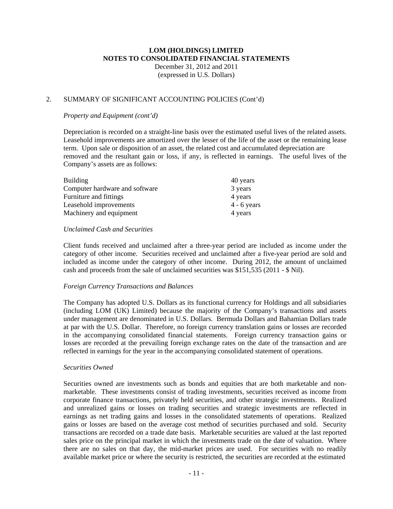### 2. SUMMARY OF SIGNIFICANT ACCOUNTING POLICIES (Cont'd)

#### *Property and Equipment (cont'd)*

Depreciation is recorded on a straight-line basis over the estimated useful lives of the related assets. Leasehold improvements are amortized over the lesser of the life of the asset or the remaining lease term. Upon sale or disposition of an asset, the related cost and accumulated depreciation are removed and the resultant gain or loss, if any, is reflected in earnings. The useful lives of the Company's assets are as follows:

| <b>Building</b>                | 40 years      |
|--------------------------------|---------------|
| Computer hardware and software | 3 years       |
| Furniture and fittings         | 4 years       |
| Leasehold improvements         | $4 - 6$ years |
| Machinery and equipment        | 4 years       |

### *Unclaimed Cash and Securities*

Client funds received and unclaimed after a three-year period are included as income under the category of other income. Securities received and unclaimed after a five-year period are sold and included as income under the category of other income. During 2012, the amount of unclaimed cash and proceeds from the sale of unclaimed securities was \$151,535 (2011 - \$ Nil).

### *Foreign Currency Transactions and Balances*

The Company has adopted U.S. Dollars as its functional currency for Holdings and all subsidiaries (including LOM (UK) Limited) because the majority of the Company's transactions and assets under management are denominated in U.S. Dollars. Bermuda Dollars and Bahamian Dollars trade at par with the U.S. Dollar. Therefore, no foreign currency translation gains or losses are recorded in the accompanying consolidated financial statements. Foreign currency transaction gains or losses are recorded at the prevailing foreign exchange rates on the date of the transaction and are reflected in earnings for the year in the accompanying consolidated statement of operations.

#### *Securities Owned*

Securities owned are investments such as bonds and equities that are both marketable and nonmarketable. These investments consist of trading investments, securities received as income from corporate finance transactions, privately held securities, and other strategic investments. Realized and unrealized gains or losses on trading securities and strategic investments are reflected in earnings as net trading gains and losses in the consolidated statements of operations. Realized gains or losses are based on the average cost method of securities purchased and sold. Security transactions are recorded on a trade date basis. Marketable securities are valued at the last reported sales price on the principal market in which the investments trade on the date of valuation. Where there are no sales on that day, the mid-market prices are used. For securities with no readily available market price or where the security is restricted, the securities are recorded at the estimated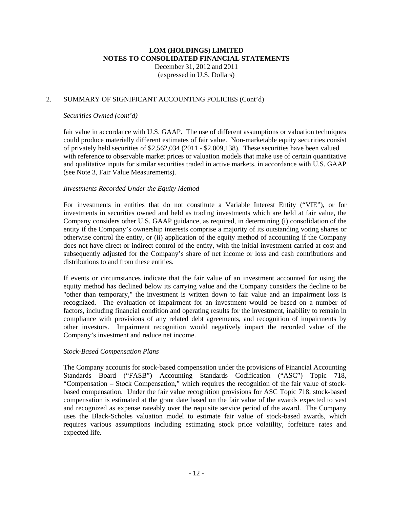### 2. SUMMARY OF SIGNIFICANT ACCOUNTING POLICIES (Cont'd)

#### *Securities Owned (cont'd)*

fair value in accordance with U.S. GAAP. The use of different assumptions or valuation techniques could produce materially different estimates of fair value. Non-marketable equity securities consist of privately held securities of \$2,562,034 (2011 - \$2,009,138). These securities have been valued with reference to observable market prices or valuation models that make use of certain quantitative and qualitative inputs for similar securities traded in active markets, in accordance with U.S. GAAP (see Note 3, Fair Value Measurements).

### *Investments Recorded Under the Equity Method*

For investments in entities that do not constitute a Variable Interest Entity ("VIE"), or for investments in securities owned and held as trading investments which are held at fair value, the Company considers other U.S. GAAP guidance, as required, in determining (i) consolidation of the entity if the Company's ownership interests comprise a majority of its outstanding voting shares or otherwise control the entity, or (ii) application of the equity method of accounting if the Company does not have direct or indirect control of the entity, with the initial investment carried at cost and subsequently adjusted for the Company's share of net income or loss and cash contributions and distributions to and from these entities.

If events or circumstances indicate that the fair value of an investment accounted for using the equity method has declined below its carrying value and the Company considers the decline to be "other than temporary," the investment is written down to fair value and an impairment loss is recognized. The evaluation of impairment for an investment would be based on a number of factors, including financial condition and operating results for the investment, inability to remain in compliance with provisions of any related debt agreements, and recognition of impairments by other investors. Impairment recognition would negatively impact the recorded value of the Company's investment and reduce net income.

#### *Stock-Based Compensation Plans*

The Company accounts for stock-based compensation under the provisions of Financial Accounting Standards Board ("FASB") Accounting Standards Codification ("ASC") Topic 718, "Compensation – Stock Compensation," which requires the recognition of the fair value of stockbased compensation. Under the fair value recognition provisions for ASC Topic 718, stock-based compensation is estimated at the grant date based on the fair value of the awards expected to vest and recognized as expense rateably over the requisite service period of the award. The Company uses the Black-Scholes valuation model to estimate fair value of stock-based awards, which requires various assumptions including estimating stock price volatility, forfeiture rates and expected life.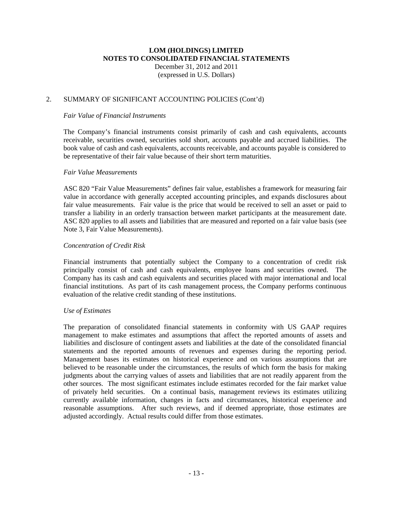### 2. SUMMARY OF SIGNIFICANT ACCOUNTING POLICIES (Cont'd)

#### *Fair Value of Financial Instruments*

The Company's financial instruments consist primarily of cash and cash equivalents, accounts receivable, securities owned, securities sold short, accounts payable and accrued liabilities. The book value of cash and cash equivalents, accounts receivable, and accounts payable is considered to be representative of their fair value because of their short term maturities.

#### *Fair Value Measurements*

ASC 820 "Fair Value Measurements" defines fair value, establishes a framework for measuring fair value in accordance with generally accepted accounting principles, and expands disclosures about fair value measurements. Fair value is the price that would be received to sell an asset or paid to transfer a liability in an orderly transaction between market participants at the measurement date. ASC 820 applies to all assets and liabilities that are measured and reported on a fair value basis (see Note 3, Fair Value Measurements).

### *Concentration of Credit Risk*

Financial instruments that potentially subject the Company to a concentration of credit risk principally consist of cash and cash equivalents, employee loans and securities owned. The Company has its cash and cash equivalents and securities placed with major international and local financial institutions. As part of its cash management process, the Company performs continuous evaluation of the relative credit standing of these institutions.

#### *Use of Estimates*

The preparation of consolidated financial statements in conformity with US GAAP requires management to make estimates and assumptions that affect the reported amounts of assets and liabilities and disclosure of contingent assets and liabilities at the date of the consolidated financial statements and the reported amounts of revenues and expenses during the reporting period. Management bases its estimates on historical experience and on various assumptions that are believed to be reasonable under the circumstances, the results of which form the basis for making judgments about the carrying values of assets and liabilities that are not readily apparent from the other sources. The most significant estimates include estimates recorded for the fair market value of privately held securities. On a continual basis, management reviews its estimates utilizing currently available information, changes in facts and circumstances, historical experience and reasonable assumptions. After such reviews, and if deemed appropriate, those estimates are adjusted accordingly. Actual results could differ from those estimates.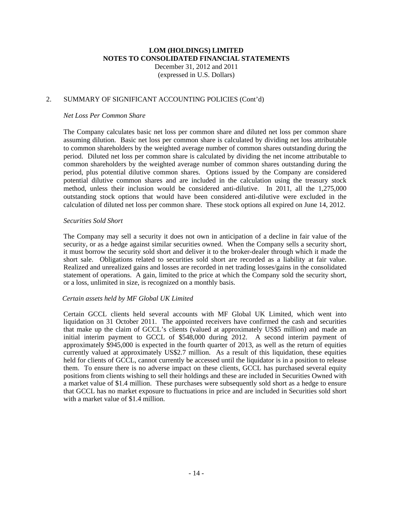### 2. SUMMARY OF SIGNIFICANT ACCOUNTING POLICIES (Cont'd)

#### *Net Loss Per Common Share*

The Company calculates basic net loss per common share and diluted net loss per common share assuming dilution. Basic net loss per common share is calculated by dividing net loss attributable to common shareholders by the weighted average number of common shares outstanding during the period. Diluted net loss per common share is calculated by dividing the net income attributable to common shareholders by the weighted average number of common shares outstanding during the period, plus potential dilutive common shares. Options issued by the Company are considered potential dilutive common shares and are included in the calculation using the treasury stock method, unless their inclusion would be considered anti-dilutive. In 2011, all the 1,275,000 outstanding stock options that would have been considered anti-dilutive were excluded in the calculation of diluted net loss per common share. These stock options all expired on June 14, 2012.

#### *Securities Sold Short*

The Company may sell a security it does not own in anticipation of a decline in fair value of the security, or as a hedge against similar securities owned. When the Company sells a security short, it must borrow the security sold short and deliver it to the broker-dealer through which it made the short sale. Obligations related to securities sold short are recorded as a liability at fair value. Realized and unrealized gains and losses are recorded in net trading losses/gains in the consolidated statement of operations. A gain, limited to the price at which the Company sold the security short, or a loss, unlimited in size, is recognized on a monthly basis.

#### *Certain assets held by MF Global UK Limited*

Certain GCCL clients held several accounts with MF Global UK Limited, which went into liquidation on 31 October 2011. The appointed receivers have confirmed the cash and securities that make up the claim of GCCL's clients (valued at approximately US\$5 million) and made an initial interim payment to GCCL of \$548,000 during 2012. A second interim payment of approximately \$945,000 is expected in the fourth quarter of 2013, as well as the return of equities currently valued at approximately US\$2.7 million. As a result of this liquidation, these equities held for clients of GCCL, cannot currently be accessed until the liquidator is in a position to release them. To ensure there is no adverse impact on these clients, GCCL has purchased several equity positions from clients wishing to sell their holdings and these are included in Securities Owned with a market value of \$1.4 million. These purchases were subsequently sold short as a hedge to ensure that GCCL has no market exposure to fluctuations in price and are included in Securities sold short with a market value of \$1.4 million.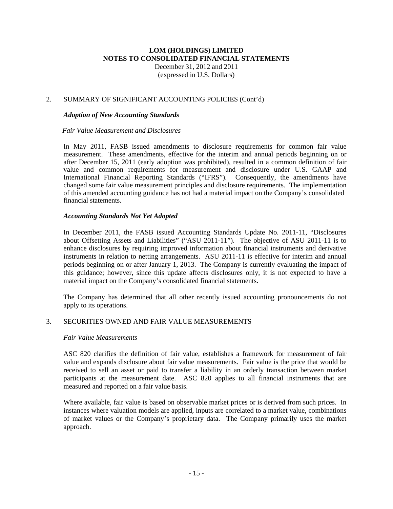### **LOM (HOLDINGS) LIMITED NOTES TO CONSOLIDATED FINANCIAL STATEMENTS**  December 31, 2012 and 2011

(expressed in U.S. Dollars)

### 2. SUMMARY OF SIGNIFICANT ACCOUNTING POLICIES (Cont'd)

### *Adoption of New Accounting Standards*

### *Fair Value Measurement and Disclosures*

In May 2011, FASB issued amendments to disclosure requirements for common fair value measurement. These amendments, effective for the interim and annual periods beginning on or after December 15, 2011 (early adoption was prohibited), resulted in a common definition of fair value and common requirements for measurement and disclosure under U.S. GAAP and International Financial Reporting Standards ("IFRS"). Consequently, the amendments have changed some fair value measurement principles and disclosure requirements. The implementation of this amended accounting guidance has not had a material impact on the Company's consolidated financial statements.

### *Accounting Standards Not Yet Adopted*

In December 2011, the FASB issued Accounting Standards Update No. 2011-11, "Disclosures about Offsetting Assets and Liabilities" ("ASU 2011-11"). The objective of ASU 2011-11 is to enhance disclosures by requiring improved information about financial instruments and derivative instruments in relation to netting arrangements. ASU 2011-11 is effective for interim and annual periods beginning on or after January 1, 2013. The Company is currently evaluating the impact of this guidance; however, since this update affects disclosures only, it is not expected to have a material impact on the Company's consolidated financial statements.

The Company has determined that all other recently issued accounting pronouncements do not apply to its operations.

### 3. SECURITIES OWNED AND FAIR VALUE MEASUREMENTS

#### *Fair Value Measurements*

ASC 820 clarifies the definition of fair value, establishes a framework for measurement of fair value and expands disclosure about fair value measurements. Fair value is the price that would be received to sell an asset or paid to transfer a liability in an orderly transaction between market participants at the measurement date. ASC 820 applies to all financial instruments that are measured and reported on a fair value basis.

Where available, fair value is based on observable market prices or is derived from such prices. In instances where valuation models are applied, inputs are correlated to a market value, combinations of market values or the Company's proprietary data. The Company primarily uses the market approach.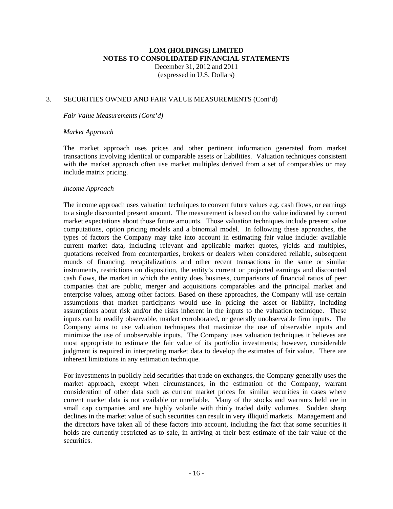### 3. SECURITIES OWNED AND FAIR VALUE MEASUREMENTS (Cont'd)

*Fair Value Measurements (Cont'd)* 

#### *Market Approach*

The market approach uses prices and other pertinent information generated from market transactions involving identical or comparable assets or liabilities. Valuation techniques consistent with the market approach often use market multiples derived from a set of comparables or may include matrix pricing.

#### *Income Approach*

The income approach uses valuation techniques to convert future values e.g. cash flows, or earnings to a single discounted present amount. The measurement is based on the value indicated by current market expectations about those future amounts. Those valuation techniques include present value computations, option pricing models and a binomial model. In following these approaches, the types of factors the Company may take into account in estimating fair value include: available current market data, including relevant and applicable market quotes, yields and multiples, quotations received from counterparties, brokers or dealers when considered reliable, subsequent rounds of financing, recapitalizations and other recent transactions in the same or similar instruments, restrictions on disposition, the entity's current or projected earnings and discounted cash flows, the market in which the entity does business, comparisons of financial ratios of peer companies that are public, merger and acquisitions comparables and the principal market and enterprise values, among other factors. Based on these approaches, the Company will use certain assumptions that market participants would use in pricing the asset or liability, including assumptions about risk and/or the risks inherent in the inputs to the valuation technique. These inputs can be readily observable, market corroborated, or generally unobservable firm inputs. The Company aims to use valuation techniques that maximize the use of observable inputs and minimize the use of unobservable inputs. The Company uses valuation techniques it believes are most appropriate to estimate the fair value of its portfolio investments; however, considerable judgment is required in interpreting market data to develop the estimates of fair value. There are inherent limitations in any estimation technique.

For investments in publicly held securities that trade on exchanges, the Company generally uses the market approach, except when circumstances, in the estimation of the Company, warrant consideration of other data such as current market prices for similar securities in cases where current market data is not available or unreliable. Many of the stocks and warrants held are in small cap companies and are highly volatile with thinly traded daily volumes. Sudden sharp declines in the market value of such securities can result in very illiquid markets. Management and the directors have taken all of these factors into account, including the fact that some securities it holds are currently restricted as to sale, in arriving at their best estimate of the fair value of the securities.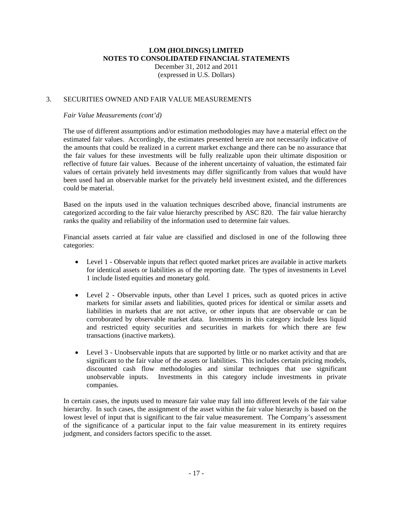### 3. SECURITIES OWNED AND FAIR VALUE MEASUREMENTS

#### *Fair Value Measurements (cont'd)*

The use of different assumptions and/or estimation methodologies may have a material effect on the estimated fair values. Accordingly, the estimates presented herein are not necessarily indicative of the amounts that could be realized in a current market exchange and there can be no assurance that the fair values for these investments will be fully realizable upon their ultimate disposition or reflective of future fair values. Because of the inherent uncertainty of valuation, the estimated fair values of certain privately held investments may differ significantly from values that would have been used had an observable market for the privately held investment existed, and the differences could be material.

Based on the inputs used in the valuation techniques described above, financial instruments are categorized according to the fair value hierarchy prescribed by ASC 820. The fair value hierarchy ranks the quality and reliability of the information used to determine fair values.

Financial assets carried at fair value are classified and disclosed in one of the following three categories:

- Level 1 Observable inputs that reflect quoted market prices are available in active markets for identical assets or liabilities as of the reporting date. The types of investments in Level 1 include listed equities and monetary gold.
- Level 2 Observable inputs, other than Level 1 prices, such as quoted prices in active markets for similar assets and liabilities, quoted prices for identical or similar assets and liabilities in markets that are not active, or other inputs that are observable or can be corroborated by observable market data. Investments in this category include less liquid and restricted equity securities and securities in markets for which there are few transactions (inactive markets).
- Level 3 Unobservable inputs that are supported by little or no market activity and that are significant to the fair value of the assets or liabilities. This includes certain pricing models, discounted cash flow methodologies and similar techniques that use significant unobservable inputs. Investments in this category include investments in private companies.

In certain cases, the inputs used to measure fair value may fall into different levels of the fair value hierarchy. In such cases, the assignment of the asset within the fair value hierarchy is based on the lowest level of input that is significant to the fair value measurement. The Company's assessment of the significance of a particular input to the fair value measurement in its entirety requires judgment, and considers factors specific to the asset.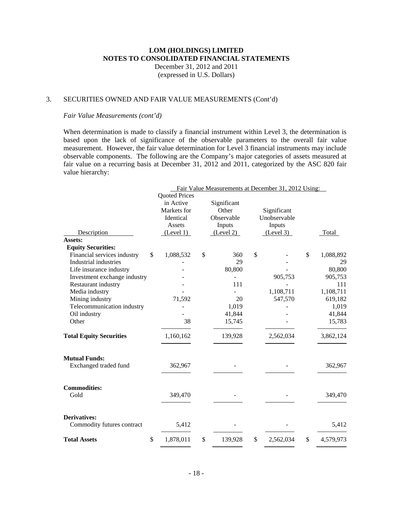### 3. SECURITIES OWNED AND FAIR VALUE MEASUREMENTS (Cont'd)

#### *Fair Value Measurements (cont'd)*

When determination is made to classify a financial instrument within Level 3, the determination is based upon the lack of significance of the observable parameters to the overall fair value measurement. However, the fair value determination for Level 3 financial instruments may include observable components. The following are the Company's major categories of assets measured at fair value on a recurring basis at December 31, 2012 and 2011, categorized by the ASC 820 fair value hierarchy:

|                                   |                      | Fair Value Measurements at December 31, 2012 Using: |                 |                 |
|-----------------------------------|----------------------|-----------------------------------------------------|-----------------|-----------------|
|                                   | <b>Quoted Prices</b> |                                                     |                 |                 |
|                                   | in Active            | Significant                                         |                 |                 |
|                                   | Markets for          | Other                                               | Significant     |                 |
|                                   | Identical            | Observable                                          | Unobservable    |                 |
|                                   | Assets               | Inputs                                              | Inputs          |                 |
| Description                       | (Level 1)            | (Level 2)                                           | (Level 3)       | <b>Total</b>    |
| Assets:                           |                      |                                                     |                 |                 |
| <b>Equity Securities:</b>         |                      |                                                     |                 |                 |
| Financial services industry<br>\$ | 1,088,532            | \$<br>360                                           | \$              | \$<br>1,088,892 |
| <b>Industrial industries</b>      |                      | 29                                                  |                 | 29              |
| Life insurance industry           |                      | 80,800                                              |                 | 80,800          |
| Investment exchange industry      |                      |                                                     | 905,753         | 905,753         |
| Restaurant industry               |                      | 111                                                 |                 | 111             |
| Media industry                    |                      |                                                     | 1,108,711       | 1,108,711       |
| Mining industry                   | 71,592               | 20                                                  | 547,570         | 619,182         |
| Telecommunication industry        |                      | 1,019                                               |                 | 1,019           |
| Oil industry                      |                      | 41,844                                              |                 | 41,844          |
| Other                             | 38                   | 15,745                                              |                 | 15,783          |
| <b>Total Equity Securities</b>    | 1,160,162            | 139,928                                             | 2,562,034       | 3,862,124       |
| <b>Mutual Funds:</b>              |                      |                                                     |                 |                 |
| Exchanged traded fund             | 362,967              |                                                     |                 | 362,967         |
| <b>Commodities:</b><br>Gold       | 349,470              |                                                     |                 | 349,470         |
| <b>Derivatives:</b>               |                      |                                                     |                 |                 |
| Commodity futures contract        | 5,412                |                                                     |                 | 5,412           |
| <b>Total Assets</b>               | \$<br>1,878,011      | \$<br>139,928                                       | \$<br>2,562,034 | \$<br>4,579,973 |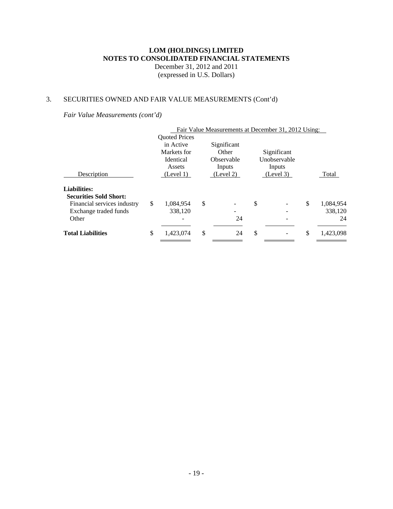# 3. SECURITIES OWNED AND FAIR VALUE MEASUREMENTS (Cont'd)

*Fair Value Measurements (cont'd)*

|                               |                      | Fair Value Measurements at December 31, 2012 Using: |              |                 |
|-------------------------------|----------------------|-----------------------------------------------------|--------------|-----------------|
|                               | <b>Ouoted Prices</b> |                                                     |              |                 |
|                               | in Active            | Significant                                         |              |                 |
|                               | Markets for          | Other                                               | Significant  |                 |
|                               | Identical            | Observable                                          | Unobservable |                 |
|                               | Assets               | Inputs                                              | Inputs       |                 |
| Description                   | (Level 1)            | (Level 2)                                           | (Level 3)    | Total           |
| <b>Liabilities:</b>           |                      |                                                     |              |                 |
| <b>Securities Sold Short:</b> |                      |                                                     |              |                 |
| Financial services industry   | \$<br>1,084,954      | \$                                                  | \$           | \$<br>1,084,954 |
| Exchange traded funds         | 338,120              | -                                                   |              | 338,120         |
| Other                         |                      | 24                                                  |              | 24              |
| <b>Total Liabilities</b>      | \$<br>1,423,074      | \$<br>24                                            | \$           | \$<br>1,423,098 |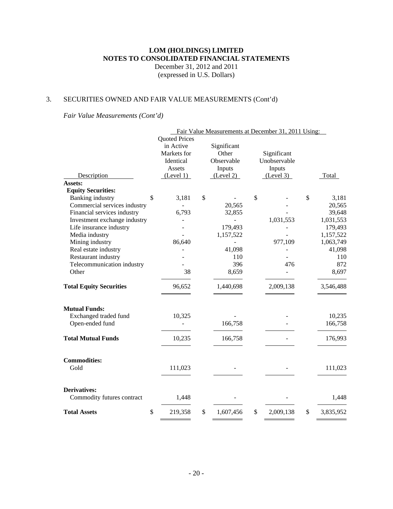# 3. SECURITIES OWNED AND FAIR VALUE MEASUREMENTS (Cont'd)

*Fair Value Measurements (Cont'd)*

|                                |                      | Fair Value Measurements at December 31, 2011 Using: |                 |                 |
|--------------------------------|----------------------|-----------------------------------------------------|-----------------|-----------------|
|                                | <b>Quoted Prices</b> |                                                     |                 |                 |
|                                | in Active            | Significant                                         |                 |                 |
|                                | Markets for          | Other                                               | Significant     |                 |
|                                | Identical            | Observable                                          | Unobservable    |                 |
|                                | Assets               | Inputs                                              | Inputs          |                 |
| Description                    | (Level 1)            | (Level 2)                                           | (Level 3)       | Total           |
| Assets:                        |                      |                                                     |                 |                 |
| <b>Equity Securities:</b>      |                      |                                                     |                 |                 |
| <b>Banking</b> industry        | \$<br>3,181          | \$                                                  | \$              | \$<br>3,181     |
| Commercial services industry   |                      | 20,565                                              |                 | 20,565          |
| Financial services industry    | 6,793                | 32,855                                              |                 | 39,648          |
| Investment exchange industry   |                      |                                                     | 1,031,553       | 1,031,553       |
| Life insurance industry        |                      | 179,493                                             |                 | 179,493         |
| Media industry                 |                      | 1,157,522                                           |                 | 1,157,522       |
| Mining industry                | 86,640               |                                                     | 977,109         | 1,063,749       |
| Real estate industry           |                      | 41,098                                              |                 | 41,098          |
| Restaurant industry            |                      | 110                                                 |                 | 110             |
| Telecommunication industry     |                      | 396                                                 | 476             | 872             |
| Other                          | 38                   | 8,659                                               |                 | 8,697           |
| <b>Total Equity Securities</b> | 96,652               | 1,440,698                                           | 2,009,138       | 3,546,488       |
| <b>Mutual Funds:</b>           |                      |                                                     |                 |                 |
| Exchanged traded fund          | 10,325               |                                                     |                 | 10,235          |
| Open-ended fund                |                      | 166,758                                             |                 | 166,758         |
| <b>Total Mutual Funds</b>      | 10,235               | 166,758                                             |                 | 176,993         |
|                                |                      |                                                     |                 |                 |
| <b>Commodities:</b>            |                      |                                                     |                 |                 |
| Gold                           | 111,023              |                                                     |                 | 111,023         |
| <b>Derivatives:</b>            |                      |                                                     |                 |                 |
| Commodity futures contract     | 1,448                |                                                     |                 | 1,448           |
| \$<br><b>Total Assets</b>      | 219,358              | \$<br>1,607,456                                     | \$<br>2,009,138 | \$<br>3,835,952 |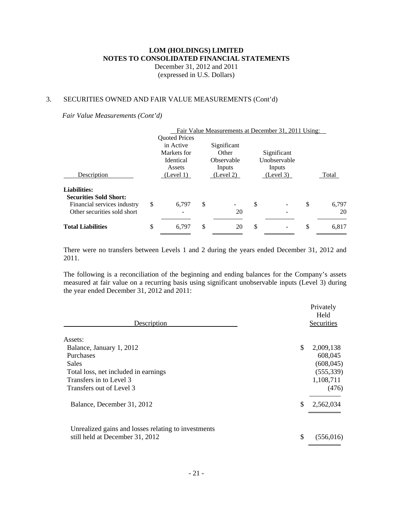### 3. SECURITIES OWNED AND FAIR VALUE MEASUREMENTS (Cont'd)

*Fair Value Measurements (Cont'd)*

|                                                      |                      | Fair Value Measurements at December 31, 2011 Using: |               |              |             |
|------------------------------------------------------|----------------------|-----------------------------------------------------|---------------|--------------|-------------|
|                                                      | <b>Quoted Prices</b> |                                                     |               |              |             |
|                                                      | in Active            | Significant                                         |               |              |             |
|                                                      | Markets for          | Other                                               |               | Significant  |             |
|                                                      | <b>Identical</b>     | Observable                                          |               | Unobservable |             |
|                                                      | Assets               | Inputs                                              |               | Inputs       |             |
| Description                                          | (Level 1)            | (Level 2)                                           |               | (Level 3)    | Total       |
| <b>Liabilities:</b><br><b>Securities Sold Short:</b> |                      |                                                     |               |              |             |
| Financial services industry                          | \$<br>6.797          | \$                                                  | \$            |              | \$<br>6.797 |
| Other securities sold short                          |                      | 20                                                  |               |              | 20          |
| <b>Total Liabilities</b>                             | \$<br>6.797          | \$<br>20                                            | <sup>\$</sup> |              | \$<br>6,817 |

There were no transfers between Levels 1 and 2 during the years ended December 31, 2012 and 2011.

The following is a reconciliation of the beginning and ending balances for the Company's assets measured at fair value on a recurring basis using significant unobservable inputs (Level 3) during the year ended December 31, 2012 and 2011:

| Description                                                                            | Privately<br>Held<br>Securities |
|----------------------------------------------------------------------------------------|---------------------------------|
| Assets:                                                                                |                                 |
| Balance, January 1, 2012                                                               | \$<br>2,009,138                 |
| <b>Purchases</b>                                                                       | 608,045                         |
| <b>Sales</b>                                                                           | (608, 045)                      |
| Total loss, net included in earnings                                                   | (555, 339)                      |
| Transfers in to Level 3                                                                | 1,108,711                       |
| Transfers out of Level 3                                                               | (476)                           |
| Balance, December 31, 2012                                                             | \$<br>2,562,034                 |
| Unrealized gains and losses relating to investments<br>still held at December 31, 2012 | \$<br>(556, 016)                |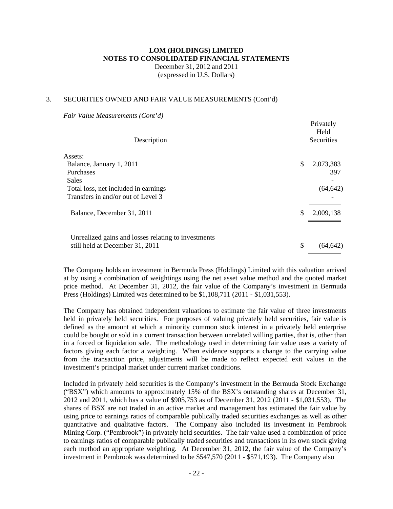### 3. SECURITIES OWNED AND FAIR VALUE MEASUREMENTS (Cont'd)

*Fair Value Measurements (Cont'd)*

| Description                                         | Privately<br>Held<br>Securities |
|-----------------------------------------------------|---------------------------------|
| Assets:                                             |                                 |
| Balance, January 1, 2011                            | \$<br>2,073,383                 |
| Purchases                                           | 397                             |
| <b>Sales</b>                                        |                                 |
| Total loss, net included in earnings                | (64, 642)                       |
| Transfers in and/or out of Level 3                  |                                 |
| Balance, December 31, 2011                          | \$<br>2,009,138                 |
|                                                     |                                 |
| Unrealized gains and losses relating to investments |                                 |
| still held at December 31, 2011                     | \$<br>(64, 642)                 |

Privately

The Company holds an investment in Bermuda Press (Holdings) Limited with this valuation arrived at by using a combination of weightings using the net asset value method and the quoted market price method. At December 31, 2012, the fair value of the Company's investment in Bermuda Press (Holdings) Limited was determined to be \$1,108,711 (2011 - \$1,031,553).

The Company has obtained independent valuations to estimate the fair value of three investments held in privately held securities. For purposes of valuing privately held securities, fair value is defined as the amount at which a minority common stock interest in a privately held enterprise could be bought or sold in a current transaction between unrelated willing parties, that is, other than in a forced or liquidation sale. The methodology used in determining fair value uses a variety of factors giving each factor a weighting. When evidence supports a change to the carrying value from the transaction price, adjustments will be made to reflect expected exit values in the investment's principal market under current market conditions.

Included in privately held securities is the Company's investment in the Bermuda Stock Exchange ("BSX") which amounts to approximately 15% of the BSX's outstanding shares at December 31, 2012 and 2011, which has a value of \$905,753 as of December 31, 2012 (2011 - \$1,031,553). The shares of BSX are not traded in an active market and management has estimated the fair value by using price to earnings ratios of comparable publically traded securities exchanges as well as other quantitative and qualitative factors. The Company also included its investment in Pembrook Mining Corp. ("Pembrook") in privately held securities. The fair value used a combination of price to earnings ratios of comparable publically traded securities and transactions in its own stock giving each method an appropriate weighting. At December 31, 2012, the fair value of the Company's investment in Pembrook was determined to be \$547,570 (2011 - \$571,193). The Company also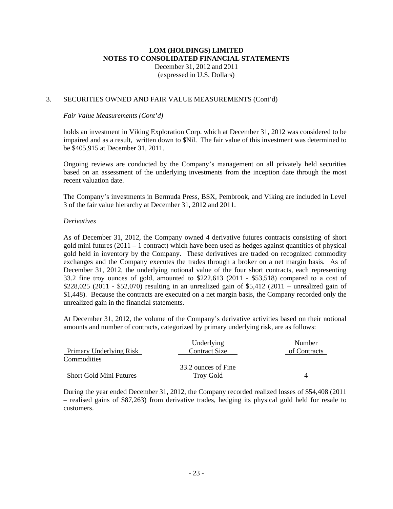### 3. SECURITIES OWNED AND FAIR VALUE MEASUREMENTS (Cont'd)

### *Fair Value Measurements (Cont'd)*

holds an investment in Viking Exploration Corp. which at December 31, 2012 was considered to be impaired and as a result, written down to \$Nil. The fair value of this investment was determined to be \$405,915 at December 31, 2011.

Ongoing reviews are conducted by the Company's management on all privately held securities based on an assessment of the underlying investments from the inception date through the most recent valuation date.

The Company's investments in Bermuda Press, BSX, Pembrook, and Viking are included in Level 3 of the fair value hierarchy at December 31, 2012 and 2011.

### *Derivatives*

As of December 31, 2012, the Company owned 4 derivative futures contracts consisting of short gold mini futures (2011 – 1 contract) which have been used as hedges against quantities of physical gold held in inventory by the Company. These derivatives are traded on recognized commodity exchanges and the Company executes the trades through a broker on a net margin basis. As of December 31, 2012, the underlying notional value of the four short contracts, each representing 33.2 fine troy ounces of gold, amounted to \$222,613 (2011 - \$53,518) compared to a cost of \$228,025 (2011 - \$52,070) resulting in an unrealized gain of \$5,412 (2011 – unrealized gain of \$1,448). Because the contracts are executed on a net margin basis, the Company recorded only the unrealized gain in the financial statements.

At December 31, 2012, the volume of the Company's derivative activities based on their notional amounts and number of contracts, categorized by primary underlying risk, are as follows:

|                                | Underlying          | Number       |
|--------------------------------|---------------------|--------------|
| Primary Underlying Risk        | Contract Size       | of Contracts |
| <b>Commodities</b>             |                     |              |
|                                | 33.2 ounces of Fine |              |
| <b>Short Gold Mini Futures</b> | <b>Troy Gold</b>    | 4            |

During the year ended December 31, 2012, the Company recorded realized losses of \$54,408 (2011 – realised gains of \$87,263) from derivative trades, hedging its physical gold held for resale to customers.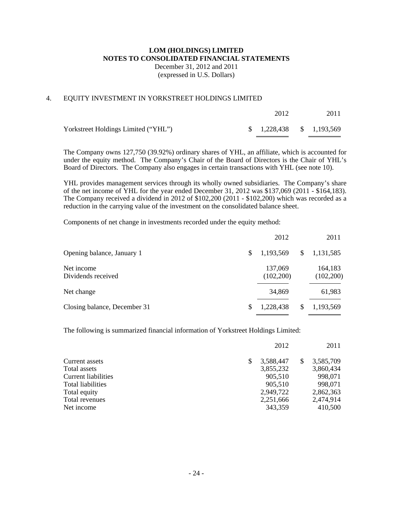### **LOM (HOLDINGS) LIMITED NOTES TO CONSOLIDATED FINANCIAL STATEMENTS**  December 31, 2012 and 2011

(expressed in U.S. Dollars)

### 4. EQUITY INVESTMENT IN YORKSTREET HOLDINGS LIMITED

|                                     | 2012                          | 2011 |
|-------------------------------------|-------------------------------|------|
| Yorkstreet Holdings Limited ("YHL") | $\frac{1,228,438}{1,193,569}$ |      |

The Company owns 127,750 (39.92%) ordinary shares of YHL, an affiliate, which is accounted for under the equity method. The Company's Chair of the Board of Directors is the Chair of YHL's Board of Directors. The Company also engages in certain transactions with YHL (see note 10).

YHL provides management services through its wholly owned subsidiaries. The Company's share of the net income of YHL for the year ended December 31, 2012 was \$137,069 (2011 - \$164,183). The Company received a dividend in 2012 of \$102,200 (2011 - \$102,200) which was recorded as a reduction in the carrying value of the investment on the consolidated balance sheet.

Components of net change in investments recorded under the equity method:

|                                  |     | 2012                 |   | 2011                 |
|----------------------------------|-----|----------------------|---|----------------------|
| Opening balance, January 1       | \$. | 1,193,569            | S | 1,131,585            |
| Net income<br>Dividends received |     | 137,069<br>(102,200) |   | 164,183<br>(102,200) |
| Net change                       |     | 34,869               |   | 61,983               |
| Closing balance, December 31     | S   | 1,228,438            | S | 1,193,569            |

The following is summarized financial information of Yorkstreet Holdings Limited:

|                            | 2012      | 2011            |
|----------------------------|-----------|-----------------|
| \$<br>Current assets       | 3,588,447 | \$<br>3,585,709 |
| Total assets               | 3,855,232 | 3,860,434       |
| <b>Current liabilities</b> | 905.510   | 998,071         |
| Total liabilities          | 905,510   | 998,071         |
| Total equity               | 2,949,722 | 2,862,363       |
| Total revenues             | 2,251,666 | 2,474,914       |
| Net income                 | 343,359   | 410,500         |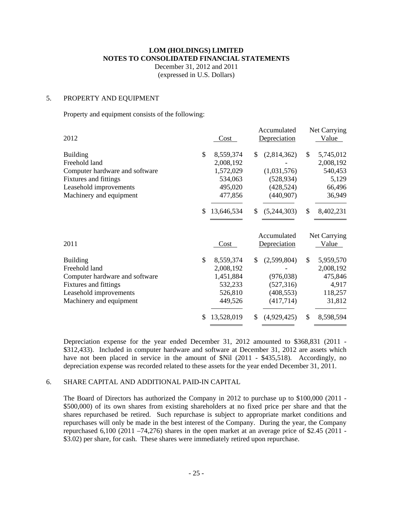December 31, 2012 and 2011 (expressed in U.S. Dollars)

#### 5. PROPERTY AND EQUIPMENT

Property and equipment consists of the following:

|                                |                  | Accumulated       | Net Carrying    |
|--------------------------------|------------------|-------------------|-----------------|
| 2012                           | Cost             | Depreciation      | Value           |
| <b>Building</b>                | \$<br>8,559,374  | \$<br>(2,814,362) | \$<br>5,745,012 |
| Freehold land                  | 2,008,192        |                   | 2,008,192       |
| Computer hardware and software | 1,572,029        | (1,031,576)       | 540,453         |
| Fixtures and fittings          | 534,063          | (528, 934)        | 5,129           |
| Leasehold improvements         | 495,020          | (428, 524)        | 66,496          |
| Machinery and equipment        | 477,856          | (440,907)         | 36,949          |
|                                | \$<br>13,646,534 | \$<br>(5,244,303) | \$<br>8,402,231 |
|                                |                  |                   |                 |
|                                |                  | Accumulated       | Net Carrying    |
| 2011                           | Cost             | Depreciation      | Value           |
| <b>Building</b>                | \$<br>8,559,374  | \$<br>(2,599,804) | \$<br>5,959,570 |
| Freehold land                  | 2,008,192        |                   | 2,008,192       |
| Computer hardware and software | 1,451,884        | (976, 038)        | 475,846         |
| Fixtures and fittings          | 532,233          | (527, 316)        | 4,917           |
| Leasehold improvements         | 526,810          | (408, 553)        | 118,257         |
| Machinery and equipment        | 449,526          | (417,714)         | 31,812          |

Depreciation expense for the year ended December 31, 2012 amounted to \$368,831 (2011 - \$312,433). Included in computer hardware and software at December 31, 2012 are assets which have not been placed in service in the amount of \$Nil (2011 - \$435,518). Accordingly, no depreciation expense was recorded related to these assets for the year ended December 31, 2011.

### 6. SHARE CAPITAL AND ADDITIONAL PAID-IN CAPITAL

The Board of Directors has authorized the Company in 2012 to purchase up to \$100,000 (2011 - \$500,000) of its own shares from existing shareholders at no fixed price per share and that the shares repurchased be retired. Such repurchase is subject to appropriate market conditions and repurchases will only be made in the best interest of the Company. During the year, the Company repurchased 6,100 (2011 –74,276) shares in the open market at an average price of \$2.45 (2011 - \$3.02) per share, for cash. These shares were immediately retired upon repurchase.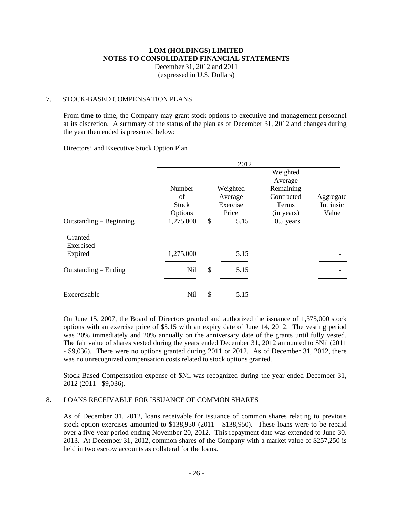# **LOM (HOLDINGS) LIMITED NOTES TO CONSOLIDATED FINANCIAL STATEMENTS**  December 31, 2012 and 2011

(expressed in U.S. Dollars)

## 7. STOCK-BASED COMPENSATION PLANS

From tim**e** to time, the Company may grant stock options to executive and management personnel at its discretion. A summary of the status of the plan as of December 31, 2012 and changes during the year then ended is presented below:

### Directors' and Executive Stock Option Plan

|                                 | 2012                                    |    |                                          |                                                |                                 |  |  |  |  |  |  |  |
|---------------------------------|-----------------------------------------|----|------------------------------------------|------------------------------------------------|---------------------------------|--|--|--|--|--|--|--|
|                                 |                                         |    |                                          | Weighted<br>Average                            |                                 |  |  |  |  |  |  |  |
|                                 | Number<br>of<br><b>Stock</b><br>Options |    | Weighted<br>Average<br>Exercise<br>Price | Remaining<br>Contracted<br>Terms<br>(in years) | Aggregate<br>Intrinsic<br>Value |  |  |  |  |  |  |  |
| Outstanding - Beginning         | 1,275,000                               | \$ | 5.15                                     | $0.5$ years                                    |                                 |  |  |  |  |  |  |  |
| Granted<br>Exercised<br>Expired | 1,275,000                               |    | 5.15                                     |                                                |                                 |  |  |  |  |  |  |  |
| Outstanding – Ending            | <b>Nil</b>                              | \$ | 5.15                                     |                                                |                                 |  |  |  |  |  |  |  |
| Excercisable                    | Nil                                     | \$ | 5.15                                     |                                                |                                 |  |  |  |  |  |  |  |

On June 15, 2007, the Board of Directors granted and authorized the issuance of 1,375,000 stock options with an exercise price of \$5.15 with an expiry date of June 14, 2012. The vesting period was 20% immediately and 20% annually on the anniversary date of the grants until fully vested. The fair value of shares vested during the years ended December 31, 2012 amounted to \$Nil (2011 - \$9,036). There were no options granted during 2011 or 2012. As of December 31, 2012, there was no unrecognized compensation costs related to stock options granted.

Stock Based Compensation expense of \$Nil was recognized during the year ended December 31, 2012 (2011 - \$9,036).

### 8. LOANS RECEIVABLE FOR ISSUANCE OF COMMON SHARES

As of December 31, 2012, loans receivable for issuance of common shares relating to previous stock option exercises amounted to \$138,950 (2011 - \$138,950). These loans were to be repaid over a five-year period ending November 20, 2012. This repayment date was extended to June 30. 2013. At December 31, 2012, common shares of the Company with a market value of \$257,250 is held in two escrow accounts as collateral for the loans.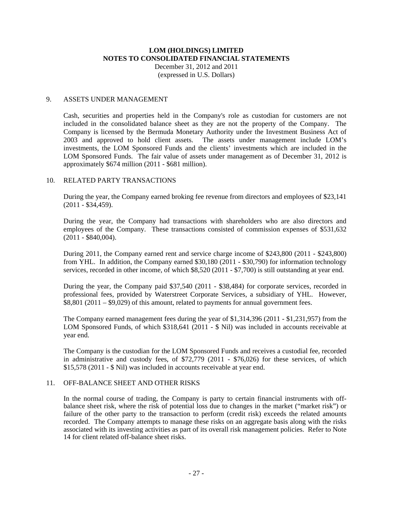December 31, 2012 and 2011 (expressed in U.S. Dollars)

### 9. ASSETS UNDER MANAGEMENT

Cash, securities and properties held in the Company's role as custodian for customers are not included in the consolidated balance sheet as they are not the property of the Company. The Company is licensed by the Bermuda Monetary Authority under the Investment Business Act of 2003 and approved to hold client assets. The assets under management include LOM's investments, the LOM Sponsored Funds and the clients' investments which are included in the LOM Sponsored Funds. The fair value of assets under management as of December 31, 2012 is approximately \$674 million (2011 - \$681 million).

### 10. RELATED PARTY TRANSACTIONS

During the year, the Company earned broking fee revenue from directors and employees of \$23,141 (2011 - \$34,459).

During the year, the Company had transactions with shareholders who are also directors and employees of the Company. These transactions consisted of commission expenses of \$531,632  $(2011 - $840,004)$ .

During 2011, the Company earned rent and service charge income of \$243,800 (2011 - \$243,800) from YHL. In addition, the Company earned \$30,180 (2011 - \$30,790) for information technology services, recorded in other income, of which \$8,520 (2011 - \$7,700) is still outstanding at year end.

During the year, the Company paid \$37,540 (2011 - \$38,484) for corporate services, recorded in professional fees, provided by Waterstreet Corporate Services, a subsidiary of YHL. However, \$8,801 (2011 – \$9,029) of this amount, related to payments for annual government fees.

The Company earned management fees during the year of \$1,314,396 (2011 - \$1,231,957) from the LOM Sponsored Funds, of which \$318,641 (2011 - \$ Nil) was included in accounts receivable at year end.

The Company is the custodian for the LOM Sponsored Funds and receives a custodial fee, recorded in administrative and custody fees, of \$72,779 (2011 - \$76,026) for these services, of which \$15,578 (2011 - \$ Nil) was included in accounts receivable at year end.

### 11. OFF-BALANCE SHEET AND OTHER RISKS

In the normal course of trading, the Company is party to certain financial instruments with offbalance sheet risk, where the risk of potential loss due to changes in the market ("market risk") or failure of the other party to the transaction to perform (credit risk) exceeds the related amounts recorded. The Company attempts to manage these risks on an aggregate basis along with the risks associated with its investing activities as part of its overall risk management policies. Refer to Note 14 for client related off-balance sheet risks.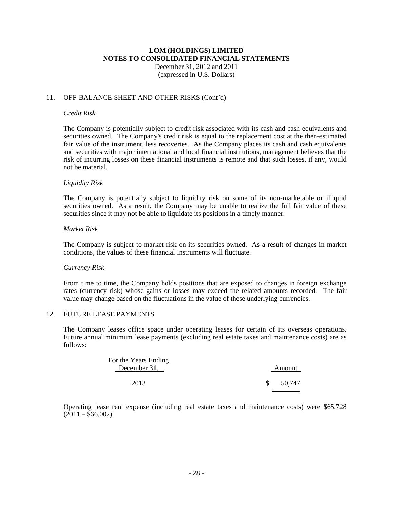December 31, 2012 and 2011 (expressed in U.S. Dollars)

### 11. OFF-BALANCE SHEET AND OTHER RISKS (Cont'd)

#### *Credit Risk*

The Company is potentially subject to credit risk associated with its cash and cash equivalents and securities owned. The Company's credit risk is equal to the replacement cost at the then-estimated fair value of the instrument, less recoveries. As the Company places its cash and cash equivalents and securities with major international and local financial institutions, management believes that the risk of incurring losses on these financial instruments is remote and that such losses, if any, would not be material.

#### *Liquidity Risk*

The Company is potentially subject to liquidity risk on some of its non-marketable or illiquid securities owned. As a result, the Company may be unable to realize the full fair value of these securities since it may not be able to liquidate its positions in a timely manner.

### *Market Risk*

The Company is subject to market risk on its securities owned. As a result of changes in market conditions, the values of these financial instruments will fluctuate.

#### *Currency Risk*

From time to time, the Company holds positions that are exposed to changes in foreign exchange rates (currency risk) whose gains or losses may exceed the related amounts recorded. The fair value may change based on the fluctuations in the value of these underlying currencies.

#### 12. FUTURE LEASE PAYMENTS

The Company leases office space under operating leases for certain of its overseas operations. Future annual minimum lease payments (excluding real estate taxes and maintenance costs) are as follows:

| For the Years Ending<br>December 31, | Amount |
|--------------------------------------|--------|
| 2013                                 | 50,747 |

Operating lease rent expense (including real estate taxes and maintenance costs) were \$65,728  $(2011 - $66,002)$ .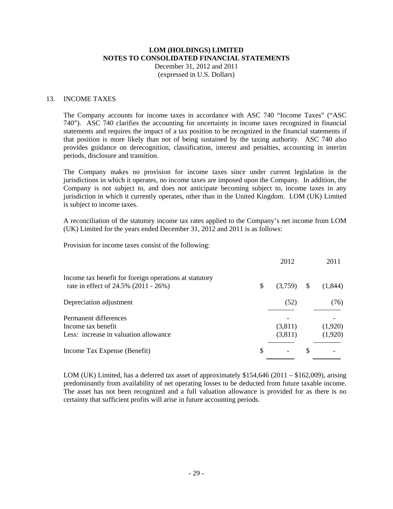December 31, 2012 and 2011 (expressed in U.S. Dollars)

### 13. INCOME TAXES

The Company accounts for income taxes in accordance with ASC 740 "Income Taxes" ("ASC 740"). ASC 740 clarifies the accounting for uncertainty in income taxes recognized in financial statements and requires the impact of a tax position to be recognized in the financial statements if that position is more likely than not of being sustained by the taxing authority. ASC 740 also provides guidance on derecognition, classification, interest and penalties, accounting in interim periods, disclosure and transition.

The Company makes no provision for income taxes since under current legislation in the jurisdictions in which it operates, no income taxes are imposed upon the Company. In addition, the Company is not subject to, and does not anticipate becoming subject to, income taxes in any jurisdiction in which it currently operates, other than in the United Kingdom. LOM (UK) Limited is subject to income taxes.

A reconciliation of the statutory income tax rates applied to the Company's net income from LOM (UK) Limited for the years ended December 31, 2012 and 2011 is as follows:

Provision for income taxes consist of the following:

|                                                                                                |    | 2012               |     | 2011               |
|------------------------------------------------------------------------------------------------|----|--------------------|-----|--------------------|
| Income tax benefit for foreign operations at statutory<br>rate in effect of 24.5% (2011 - 26%) | \$ | (3,759)            | S   | (1,844)            |
| Depreciation adjustment                                                                        |    | (52)               |     | (76)               |
| Permanent differences<br>Income tax benefit<br>Less: increase in valuation allowance           |    | (3,811)<br>(3,811) |     | (1,920)<br>(1,920) |
| Income Tax Expense (Benefit)                                                                   | S  |                    | \$. |                    |

LOM (UK) Limited, has a deferred tax asset of approximately  $$154,646$  (2011 –  $$162,009$ ), arising predominantly from availability of net operating losses to be deducted from future taxable income. The asset has not been recognized and a full valuation allowance is provided for as there is no certainty that sufficient profits will arise in future accounting periods.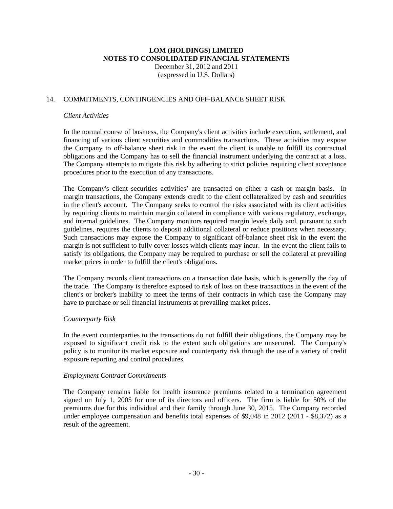### 14. COMMITMENTS, CONTINGENCIES AND OFF-BALANCE SHEET RISK

#### *Client Activities*

In the normal course of business, the Company's client activities include execution, settlement, and financing of various client securities and commodities transactions. These activities may expose the Company to off-balance sheet risk in the event the client is unable to fulfill its contractual obligations and the Company has to sell the financial instrument underlying the contract at a loss. The Company attempts to mitigate this risk by adhering to strict policies requiring client acceptance procedures prior to the execution of any transactions.

The Company's client securities activities' are transacted on either a cash or margin basis. In margin transactions, the Company extends credit to the client collateralized by cash and securities in the client's account. The Company seeks to control the risks associated with its client activities by requiring clients to maintain margin collateral in compliance with various regulatory, exchange, and internal guidelines. The Company monitors required margin levels daily and, pursuant to such guidelines, requires the clients to deposit additional collateral or reduce positions when necessary. Such transactions may expose the Company to significant off-balance sheet risk in the event the margin is not sufficient to fully cover losses which clients may incur. In the event the client fails to satisfy its obligations, the Company may be required to purchase or sell the collateral at prevailing market prices in order to fulfill the client's obligations.

The Company records client transactions on a transaction date basis, which is generally the day of the trade. The Company is therefore exposed to risk of loss on these transactions in the event of the client's or broker's inability to meet the terms of their contracts in which case the Company may have to purchase or sell financial instruments at prevailing market prices.

#### *Counterparty Risk*

In the event counterparties to the transactions do not fulfill their obligations, the Company may be exposed to significant credit risk to the extent such obligations are unsecured. The Company's policy is to monitor its market exposure and counterparty risk through the use of a variety of credit exposure reporting and control procedures.

#### *Employment Contract Commitments*

The Company remains liable for health insurance premiums related to a termination agreement signed on July 1, 2005 for one of its directors and officers. The firm is liable for 50% of the premiums due for this individual and their family through June 30, 2015. The Company recorded under employee compensation and benefits total expenses of \$9,048 in 2012 (2011 - \$8,372) as a result of the agreement.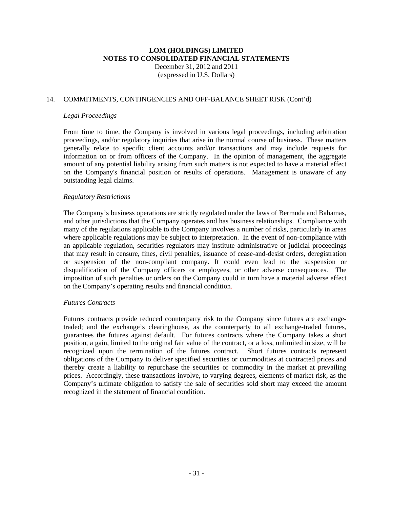### 14. COMMITMENTS, CONTINGENCIES AND OFF-BALANCE SHEET RISK (Cont'd)

#### *Legal Proceedings*

From time to time, the Company is involved in various legal proceedings, including arbitration proceedings, and/or regulatory inquiries that arise in the normal course of business. These matters generally relate to specific client accounts and/or transactions and may include requests for information on or from officers of the Company. In the opinion of management, the aggregate amount of any potential liability arising from such matters is not expected to have a material effect on the Company's financial position or results of operations. Management is unaware of any outstanding legal claims.

### *Regulatory Restrictions*

The Company's business operations are strictly regulated under the laws of Bermuda and Bahamas, and other jurisdictions that the Company operates and has business relationships. Compliance with many of the regulations applicable to the Company involves a number of risks, particularly in areas where applicable regulations may be subject to interpretation. In the event of non-compliance with an applicable regulation, securities regulators may institute administrative or judicial proceedings that may result in censure, fines, civil penalties, issuance of cease-and-desist orders, deregistration or suspension of the non-compliant company. It could even lead to the suspension or disqualification of the Company officers or employees, or other adverse consequences. The imposition of such penalties or orders on the Company could in turn have a material adverse effect on the Company's operating results and financial condition.

#### *Futures Contracts*

Futures contracts provide reduced counterparty risk to the Company since futures are exchangetraded; and the exchange's clearinghouse, as the counterparty to all exchange-traded futures, guarantees the futures against default. For futures contracts where the Company takes a short position, a gain, limited to the original fair value of the contract, or a loss, unlimited in size, will be recognized upon the termination of the futures contract. Short futures contracts represent obligations of the Company to deliver specified securities or commodities at contracted prices and thereby create a liability to repurchase the securities or commodity in the market at prevailing prices. Accordingly, these transactions involve, to varying degrees, elements of market risk, as the Company's ultimate obligation to satisfy the sale of securities sold short may exceed the amount recognized in the statement of financial condition.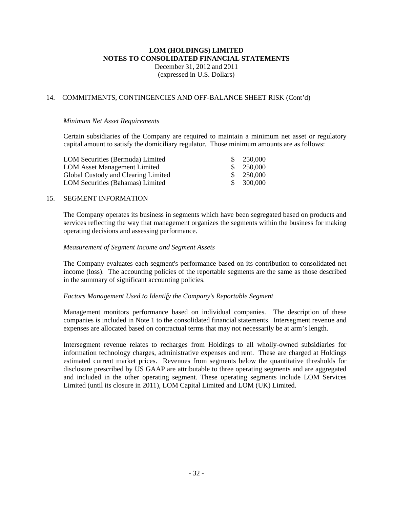December 31, 2012 and 2011 (expressed in U.S. Dollars)

### 14. COMMITMENTS, CONTINGENCIES AND OFF-BALANCE SHEET RISK (Cont'd)

#### *Minimum Net Asset Requirements*

Certain subsidiaries of the Company are required to maintain a minimum net asset or regulatory capital amount to satisfy the domiciliary regulator. Those minimum amounts are as follows:

| LOM Securities (Bermuda) Limited    | -SS | 250,000 |
|-------------------------------------|-----|---------|
| <b>LOM Asset Management Limited</b> |     | 250.000 |
| Global Custody and Clearing Limited |     | 250.000 |
| LOM Securities (Bahamas) Limited    | -SS | 300,000 |

### 15. SEGMENT INFORMATION

The Company operates its business in segments which have been segregated based on products and services reflecting the way that management organizes the segments within the business for making operating decisions and assessing performance.

### *Measurement of Segment Income and Segment Assets*

The Company evaluates each segment's performance based on its contribution to consolidated net income (loss). The accounting policies of the reportable segments are the same as those described in the summary of significant accounting policies.

#### *Factors Management Used to Identify the Company's Reportable Segment*

Management monitors performance based on individual companies. The description of these companies is included in Note 1 to the consolidated financial statements. Intersegment revenue and expenses are allocated based on contractual terms that may not necessarily be at arm's length.

Intersegment revenue relates to recharges from Holdings to all wholly-owned subsidiaries for information technology charges, administrative expenses and rent. These are charged at Holdings estimated current market prices. Revenues from segments below the quantitative thresholds for disclosure prescribed by US GAAP are attributable to three operating segments and are aggregated and included in the other operating segment. These operating segments include LOM Services Limited (until its closure in 2011), LOM Capital Limited and LOM (UK) Limited.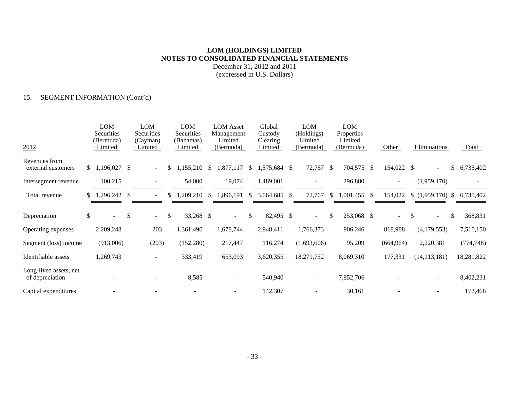December 31, 2012 and 2011 (expressed in U.S. Dollars)

### 15. SEGMENT INFORMATION (Cont'd)

| 2012                                      | LOM<br>Securities<br>(Bermuda)<br>Limited |               | LOM<br>Securities<br>(Cayman)<br>Limited |              | LOM<br>Securities<br>(Bahamas)<br>Limited |    | <b>LOM</b> Asset<br>Management<br>Limited<br>(Bermuda) |               | Global<br>Custody<br>Clearing<br>Limited |               | <b>LOM</b><br>(Holdings)<br>Limited<br>(Bermuda) |               | <b>LOM</b><br>Properties<br>Limited<br>(Bermuda) |               | Other                    | Eliminations       | Total           |
|-------------------------------------------|-------------------------------------------|---------------|------------------------------------------|--------------|-------------------------------------------|----|--------------------------------------------------------|---------------|------------------------------------------|---------------|--------------------------------------------------|---------------|--------------------------------------------------|---------------|--------------------------|--------------------|-----------------|
| Revenues from<br>external customers       | \$1,196,027                               | <sup>\$</sup> | $\sim$                                   | \$           | 1,155,210                                 | -S | 1,877,117                                              | <sup>\$</sup> | 1,575,684 \$                             |               | 72,767 \$                                        |               | 704,575                                          | <sup>\$</sup> | 154,022 \$               |                    | \$<br>6,735,402 |
| Intersegment revenue                      | 100,215                                   |               |                                          |              | 54,000                                    |    | 19,074                                                 |               | 1,489,001                                |               |                                                  |               | 296,880                                          |               | $\overline{\phantom{a}}$ | (1,959,170)        |                 |
| Total revenue                             | \$<br>,296,242                            | $\mathcal{S}$ |                                          |              | 1,209,210                                 | \$ | 1,896,191                                              | <sup>\$</sup> | 3,064,685                                | -S            | 72,767                                           | \$            | 1,001,455                                        | \$            | 154,022                  | $$(1,959,170)$ \\$ | 6,735,402       |
| Depreciation                              | \$<br>$\sim$                              | \$            | $\sim$                                   | $\mathbb{S}$ | 33,268 \$                                 |    | $\sim$ 10 $\,$                                         | $\mathbb{S}$  | 82,495                                   | <sup>\$</sup> | $\sim$ .                                         | <sup>\$</sup> | 253,068 \$                                       |               | $\sim$                   | \$<br>$\sim$ .     | \$<br>368,831   |
| Operating expenses                        | 2,209,248                                 |               | 203                                      |              | 1,361,490                                 |    | 1,678,744                                              |               | 2,948,411                                |               | 1,766,373                                        |               | 906,246                                          |               | 818,988                  | (4,179,553)        | 7,510,150       |
| Segment (loss) income                     | (913,006)                                 |               | (203)                                    |              | (152,280)                                 |    | 217,447                                                |               | 116,274                                  |               | (1,693,606)                                      |               | 95,209                                           |               | (664, 964)               | 2,220,381          | (774, 748)      |
| Identifiable assets                       | 1,269,743                                 |               |                                          |              | 333,419                                   |    | 653,093                                                |               | 3,620,355                                |               | 18,271,752                                       |               | 8,069,310                                        |               | 177,331                  | (14, 113, 181)     | 18,281,822      |
| Long-lived assets, net<br>of depreciation |                                           |               |                                          |              | 8,585                                     |    | $\overline{\phantom{a}}$                               |               | 540,940                                  |               | $\overline{\phantom{a}}$                         |               | 7,852,706                                        |               |                          |                    | 8,402,231       |
| Capital expenditures                      |                                           |               |                                          |              |                                           |    |                                                        |               | 142,307                                  |               |                                                  |               | 30,161                                           |               |                          |                    | 172,468         |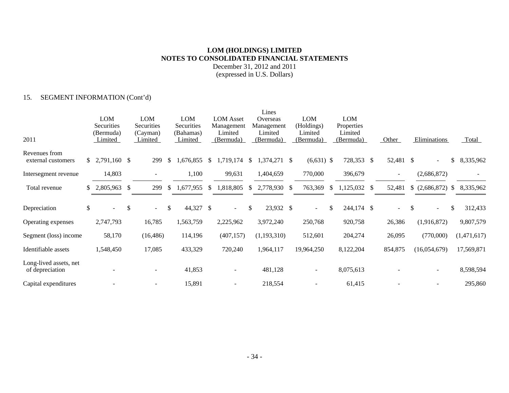December 31, 2012 and 2011 (expressed in U.S. Dollars)

### 15. SEGMENT INFORMATION (Cont'd)

|                                           |    |                      |              |                     |               |                      |               |                      |               | Lines                |               |                      |               |                      |               |                          |               |              |    |             |
|-------------------------------------------|----|----------------------|--------------|---------------------|---------------|----------------------|---------------|----------------------|---------------|----------------------|---------------|----------------------|---------------|----------------------|---------------|--------------------------|---------------|--------------|----|-------------|
|                                           |    | LOM                  |              | LOM                 |               | <b>LOM</b>           |               | <b>LOM</b> Asset     |               | Overseas             |               | <b>LOM</b>           |               | <b>LOM</b>           |               |                          |               |              |    |             |
|                                           |    | Securities           |              | Securities          |               | Securities           |               | Management           |               | Management           |               | (Holdings)           |               | Properties           |               |                          |               |              |    |             |
| 2011                                      |    | (Bermuda)<br>Limited |              | (Cayman)<br>Limited |               | (Bahamas)<br>Limited |               | Limited<br>(Bermuda) |               | Limited<br>(Bermuda) |               | Limited<br>(Bermuda) |               | Limited<br>(Bermuda) |               | Other                    |               | Eliminations |    | Total       |
| Revenues from<br>external customers       |    | $$2,791,160$ \, \$   |              | 299                 | $\mathbb{S}$  | ,676,855             | <sup>\$</sup> | 1,719,174            | <sup>\$</sup> | 1,374,271            | -S            | $(6,631)$ \$         |               | 728,353              | <sup>\$</sup> | 52,481 \$                |               |              | \$ | 8,335,962   |
| Intersegment revenue                      |    | 14,803               |              |                     |               | 1,100                |               | 99,631               |               | 1,404,659            |               | 770,000              |               | 396,679              |               | $\overline{\phantom{a}}$ |               | (2,686,872)  |    |             |
| Total revenue                             | S. | 2,805,963            | $\mathbb{S}$ | 299                 | <sup>\$</sup> | 1,677,955            | <sup>\$</sup> | 1,818,805            | <sup>\$</sup> | 2,778,930            | <sup>\$</sup> | 763,369              | <sup>\$</sup> | 1,125,032            | <sup>\$</sup> | 52,481                   |               | (2,686,872)  | -S | 8,335,962   |
| Depreciation                              | \$ |                      | \$           | $\sim$              | $\mathbb{S}$  | 44,327 \$            |               | $\sim$               | $\mathbb{S}$  | 23,932 \$            |               | $\sim$               | \$            | 244,174 \$           |               | $\sim$                   | <sup>\$</sup> |              | \$ | 312,433     |
| Operating expenses                        |    | 2,747,793            |              | 16,785              |               | 1,563,759            |               | 2,225,962            |               | 3,972,240            |               | 250,768              |               | 920,758              |               | 26,386                   |               | (1,916,872)  |    | 9,807,579   |
| Segment (loss) income                     |    | 58,170               |              | (16, 486)           |               | 114,196              |               | (407, 157)           |               | (1,193,310)          |               | 512,601              |               | 204,274              |               | 26,095                   |               | (770,000)    |    | (1,471,617) |
| Identifiable assets                       |    | 1,548,450            |              | 17,085              |               | 433,329              |               | 720,240              |               | 1,964,117            |               | 19,964,250           |               | 8,122,204            |               | 854,875                  |               | (16,054,679) |    | 17,569,871  |
| Long-lived assets, net<br>of depreciation |    |                      |              |                     |               | 41,853               |               |                      |               | 481,128              |               |                      |               | 8,075,613            |               |                          |               |              |    | 8,598,594   |
| Capital expenditures                      |    |                      |              |                     |               | 15,891               |               |                      |               | 218,554              |               |                      |               | 61,415               |               |                          |               |              |    | 295,860     |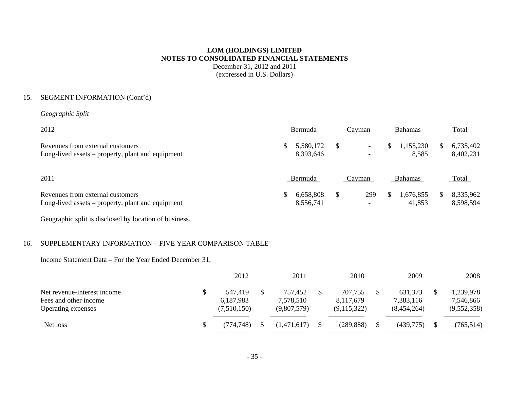December 31, 2012 and 2011 (expressed in U.S. Dollars)

### 15. SEGMENT INFORMATION (Cont'd)

*Geographic Split* 

| 2012                                                                                  | Bermuda   | Cavman                             |    | <b>Bahamas</b>     |              | <b>Total</b>           |
|---------------------------------------------------------------------------------------|-----------|------------------------------------|----|--------------------|--------------|------------------------|
| Revenues from external customers<br>Long-lived assets – property, plant and equipment | 8,393,646 | $\sim$<br>$\overline{\phantom{0}}$ | S. | 1,155,230<br>8,585 | <sup>S</sup> | 6,735,402<br>8,402,231 |

| 2011                                              | Bermuda      |  | ∴avman | Bahamas                       | <u>Total</u> |  |
|---------------------------------------------------|--------------|--|--------|-------------------------------|--------------|--|
| Revenues from external customers                  | 6,658,808 \$ |  |        | 299 \$ 1,676,855 \$ 8,335,962 |              |  |
| Long-lived assets – property, plant and equipment | 8.556.741    |  |        | 41.853                        | 8,598,594    |  |

Geographic split is disclosed by location of business.

### 16. SUPPLEMENTARY INFORMATION – FIVE YEAR COMPARISON TABLE

Income Statement Data – For the Year Ended December 31,

|                                                                            | 2012                                | 2011                                | 2010                                | 2009                                | 2008                                  |
|----------------------------------------------------------------------------|-------------------------------------|-------------------------------------|-------------------------------------|-------------------------------------|---------------------------------------|
| Net revenue-interest income<br>Fees and other income<br>Operating expenses | 547,419<br>6,187,983<br>(7,510,150) | 757,452<br>7,578,510<br>(9,807,579) | 707,755<br>8,117,679<br>(9,115,322) | 631,373<br>7,383,116<br>(8,454,264) | 1,239,978<br>7,546,866<br>(9,552,358) |
| Net loss                                                                   | (774, 748)                          | (1,471,617)                         | (289, 888)                          | (439,775)                           | (765, 514)                            |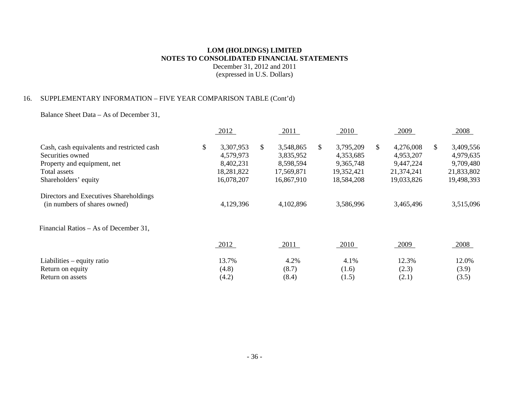December 31, 2012 and 2011 (expressed in U.S. Dollars)

### 16. SUPPLEMENTARY INFORMATION – FIVE YEAR COMPARISON TABLE (Cont'd)

Balance Sheet Data – As of December 31,

| 2012       | 2011            | 2010            |     | 2009       |    | 2008       |
|------------|-----------------|-----------------|-----|------------|----|------------|
| 3,307,953  | \$<br>3,548,865 | \$<br>3,795,209 | \$. | 4,276,008  | S. | 3,409,556  |
| 4,579,973  | 3,835,952       | 4,353,685       |     | 4,953,207  |    | 4,979,635  |
| 8,402,231  | 8,598,594       | 9,365,748       |     | 9,447,224  |    | 9,709,480  |
| 18,281,822 | 17,569,871      | 19,352,421      |     | 21,374,241 |    | 21,833,802 |
| 16,078,207 | 16,867,910      | 18,584,208      |     | 19,033,826 |    | 19,498,393 |
|            |                 |                 |     |            |    |            |
| 4,129,396  | 4,102,896       | 3,586,996       |     | 3,465,496  |    | 3,515,096  |
|            |                 |                 |     |            |    |            |
| 2012       | 2011            | 2010            |     | 2009       |    | 2008       |
| 13.7%      | 4.2%            | 4.1%            |     | 12.3%      |    | 12.0%      |
| (4.8)      | (8.7)           | (1.6)           |     | (2.3)      |    | (3.9)      |
| (4.2)      | (8.4)           | (1.5)           |     | (2.1)      |    | (3.5)      |
|            |                 |                 |     |            |    |            |